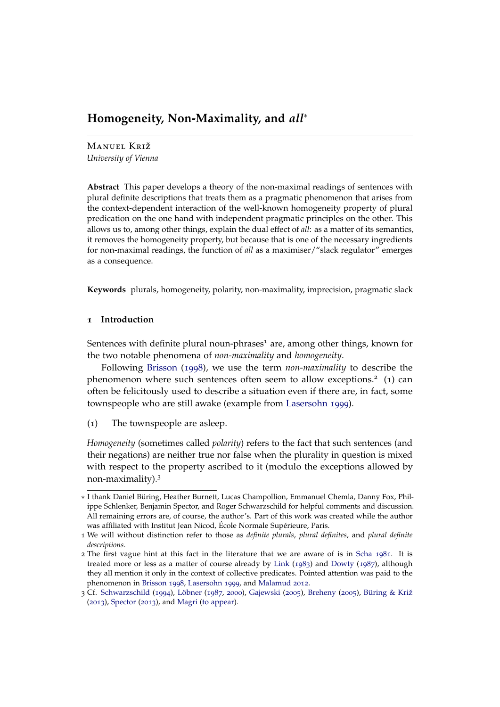# **Homogeneity, Non-Maximality, and** *all*<sup>∗</sup>

Manuel Križ *University of Vienna*

**Abstract** This paper develops a theory of the non-maximal readings of sentences with plural definite descriptions that treats them as a pragmatic phenomenon that arises from the context-dependent interaction of the well-known homogeneity property of plural predication on the one hand with independent pragmatic principles on the other. This allows us to, among other things, explain the dual effect of *all*: as a matter of its semantics, it removes the homogeneity property, but because that is one of the necessary ingredients for non-maximal readings, the function of *all* as a maximiser/"slack regulator" emerges as a consequence.

**Keywords** plurals, homogeneity, polarity, non-maximality, imprecision, pragmatic slack

# **1 Introduction**

Sentences with definite plural noun-phrases<sup>1</sup> are, among other things, known for the two notable phenomena of *non-maximality* and *homogeneity*.

Following [Brisson](#page-27-0) ([1998](#page-27-0)), we use the term *non-maximality* to describe the phenomenon where such sentences often seem to allow exceptions.<sup>2</sup> (1) can often be felicitously used to describe a situation even if there are, in fact, some townspeople who are still awake (example from [Lasersohn](#page-29-0) [1999](#page-29-0)).

<span id="page-0-0"></span>(1) The townspeople are asleep.

*Homogeneity* (sometimes called *polarity*) refers to the fact that such sentences (and their negations) are neither true nor false when the plurality in question is mixed with respect to the property ascribed to it (modulo the exceptions allowed by non-maximality).<sup>3</sup>

<sup>∗</sup> I thank Daniel Büring, Heather Burnett, Lucas Champollion, Emmanuel Chemla, Danny Fox, Philippe Schlenker, Benjamin Spector, and Roger Schwarzschild for helpful comments and discussion. All remaining errors are, of course, the author's. Part of this work was created while the author was affiliated with Institut Jean Nicod, École Normale Supérieure, Paris.

<sup>1</sup> We will without distinction refer to those as *definite plurals*, *plural definites*, and *plural definite descriptions*.

<sup>2</sup> The first vague hint at this fact in the literature that we are aware of is in [Scha](#page-30-0) [1981](#page-30-0). It is treated more or less as a matter of course already by [Link](#page-29-1) ([1983](#page-29-1)) and [Dowty](#page-28-0) ([1987](#page-28-0)), although they all mention it only in the context of collective predicates. Pointed attention was paid to the phenomenon in [Brisson](#page-27-0) [1998](#page-27-0), [Lasersohn](#page-29-0) [1999](#page-29-0), and [Malamud](#page-29-2) [2012](#page-29-2).

<sup>3</sup> Cf. [Schwarzschild](#page-30-1) ([1994](#page-30-1)), [Löbner](#page-29-3) ([1987](#page-29-3), [2000](#page-29-4)), [Gajewski](#page-28-1) ([2005](#page-28-1)), [Breheny](#page-27-1) ([2005](#page-27-1)), [Büring & Križ](#page-27-2) ([2013](#page-27-2)), [Spector](#page-30-2) ([2013](#page-30-2)), and [Magri](#page-29-5) [\(to appear\)](#page-29-5).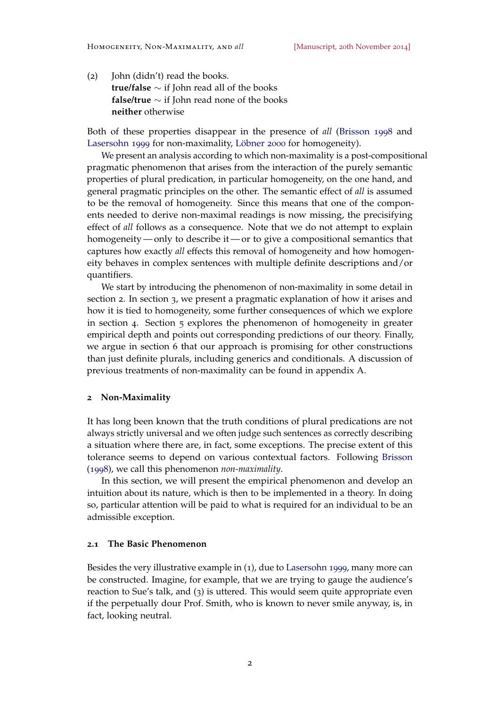(2) John (didn't) read the books. **true/false** ∼ if John read all of the books **false/true** ∼ if John read none of the books **neither** otherwise

Both of these properties disappear in the presence of *all* [\(Brisson](#page-27-0) [1998](#page-27-0) and [Lasersohn](#page-29-0) [1999](#page-29-0) for non-maximality, [Löbner](#page-29-4) [2000](#page-29-4) for homogeneity).

We present an analysis according to which non-maximality is a post-compositional pragmatic phenomenon that arises from the interaction of the purely semantic properties of plural predication, in particular homogeneity, on the one hand, and general pragmatic principles on the other. The semantic effect of *all* is assumed to be the removal of homogeneity. Since this means that one of the components needed to derive non-maximal readings is now missing, the precisifying effect of *all* follows as a consequence. Note that we do not attempt to explain homogeneity— only to describe it— or to give a compositional semantics that captures how exactly *all* effects this removal of homogeneity and how homogeneity behaves in complex sentences with multiple definite descriptions and/or quantifiers.

We start by introducing the phenomenon of non-maximality in some detail in section [2](#page-1-0). In section [3](#page-5-0), we present a pragmatic explanation of how it arises and how it is tied to homogeneity, some further consequences of which we explore in section [4](#page-10-0). Section [5](#page-18-0) explores the phenomenon of homogeneity in greater empirical depth and points out corresponding predictions of our theory. Finally, we argue in section [6](#page-21-0) that our approach is promising for other constructions than just definite plurals, including generics and conditionals. A discussion of previous treatments of non-maximality can be found in appendix [A.](#page-30-3)

#### <span id="page-1-0"></span>**2 Non-Maximality**

It has long been known that the truth conditions of plural predications are not always strictly universal and we often judge such sentences as correctly describing a situation where there are, in fact, some exceptions. The precise extent of this tolerance seems to depend on various contextual factors. Following [Brisson](#page-27-0) ([1998](#page-27-0)), we call this phenomenon *non-maximality*.

In this section, we will present the empirical phenomenon and develop an intuition about its nature, which is then to be implemented in a theory. In doing so, particular attention will be paid to what is required for an individual to be an admissible exception.

#### **2.1 The Basic Phenomenon**

Besides the very illustrative example in (1[\),](#page-0-0) due to [Lasersohn](#page-29-0) [1999](#page-29-0), many more can be constructed. Imagine, for example, that we are trying to gauge the audience's reaction to Sue's talk, and (3) is uttered. This would seem quite appropriate even if the perpetually dour Prof. Smith, who is known to never smile anyway, is, in fact, looking neutral.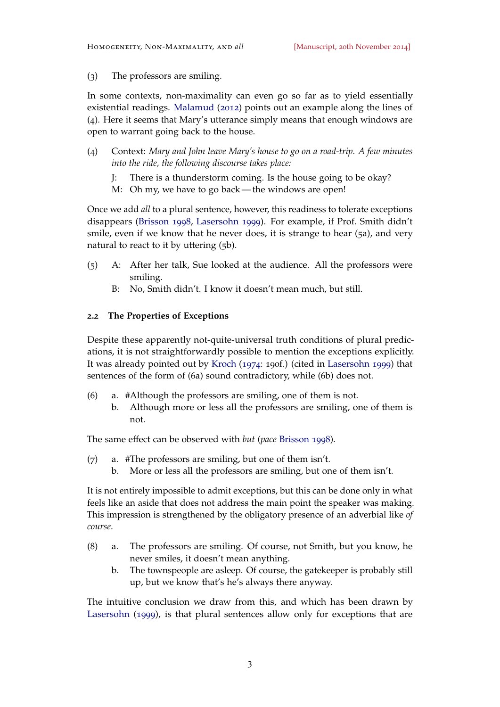(3) The professors are smiling.

In some contexts, non-maximality can even go so far as to yield essentially existential readings. [Malamud](#page-29-2) ([2012](#page-29-2)) points out an example along the lines of (4). Here it seems that Mary's utterance simply means that enough windows are open to warrant going back to the house.

- (4) Context: *Mary and John leave Mary's house to go on a road-trip. A few minutes into the ride, the following discourse takes place:*
	- J: There is a thunderstorm coming. Is the house going to be okay?
	- M: Oh my, we have to go back the windows are open!

Once we add *all* to a plural sentence, however, this readiness to tolerate exceptions disappears [\(Brisson](#page-27-0) [1998](#page-27-0), [Lasersohn](#page-29-0) [1999](#page-29-0)). For example, if Prof. Smith didn't smile, even if we know that he never does, it is strange to hear (5a), and very natural to react to it by uttering (5b).

- (5) A: After her talk, Sue looked at the audience. All the professors were smiling.
	- B: No, Smith didn't. I know it doesn't mean much, but still.

# <span id="page-2-0"></span>**2.2 The Properties of Exceptions**

Despite these apparently not-quite-universal truth conditions of plural predications, it is not straightforwardly possible to mention the exceptions explicitly. It was already pointed out by [Kroch](#page-29-6) ([1974](#page-29-6): 190f.) (cited in [Lasersohn](#page-29-0) [1999](#page-29-0)) that sentences of the form of (6a) sound contradictory, while (6b) does not.

- (6) a. #Although the professors are smiling, one of them is not.
	- b. Although more or less all the professors are smiling, one of them is not.

The same effect can be observed with *but* (*pace* [Brisson](#page-27-0) [1998](#page-27-0)).

- (7) a. #The professors are smiling, but one of them isn't.
	- b. More or less all the professors are smiling, but one of them isn't.

It is not entirely impossible to admit exceptions, but this can be done only in what feels like an aside that does not address the main point the speaker was making. This impression is strengthened by the obligatory presence of an adverbial like *of course*.

- (8) a. The professors are smiling. Of course, not Smith, but you know, he never smiles, it doesn't mean anything.
	- b. The townspeople are asleep. Of course, the gatekeeper is probably still up, but we know that's he's always there anyway.

The intuitive conclusion we draw from this, and which has been drawn by [Lasersohn](#page-29-0) ([1999](#page-29-0)), is that plural sentences allow only for exceptions that are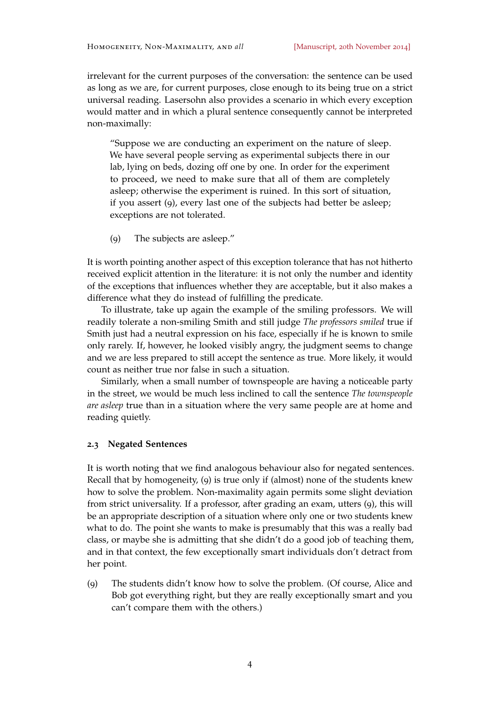irrelevant for the current purposes of the conversation: the sentence can be used as long as we are, for current purposes, close enough to its being true on a strict universal reading. Lasersohn also provides a scenario in which every exception would matter and in which a plural sentence consequently cannot be interpreted non-maximally:

"Suppose we are conducting an experiment on the nature of sleep. We have several people serving as experimental subjects there in our lab, lying on beds, dozing off one by one. In order for the experiment to proceed, we need to make sure that all of them are completely asleep; otherwise the experiment is ruined. In this sort of situation, if you assert (9), every last one of the subjects had better be asleep; exceptions are not tolerated.

(9) The subjects are asleep."

It is worth pointing another aspect of this exception tolerance that has not hitherto received explicit attention in the literature: it is not only the number and identity of the exceptions that influences whether they are acceptable, but it also makes a difference what they do instead of fulfilling the predicate.

To illustrate, take up again the example of the smiling professors. We will readily tolerate a non-smiling Smith and still judge *The professors smiled* true if Smith just had a neutral expression on his face, especially if he is known to smile only rarely. If, however, he looked visibly angry, the judgment seems to change and we are less prepared to still accept the sentence as true. More likely, it would count as neither true nor false in such a situation.

Similarly, when a small number of townspeople are having a noticeable party in the street, we would be much less inclined to call the sentence *The townspeople are asleep* true than in a situation where the very same people are at home and reading quietly.

#### **2.3 Negated Sentences**

It is worth noting that we find analogous behaviour also for negated sentences. Recall that by homogeneity, (9) is true only if (almost) none of the students knew how to solve the problem. Non-maximality again permits some slight deviation from strict universality. If a professor, after grading an exam, utters (9), this will be an appropriate description of a situation where only one or two students knew what to do. The point she wants to make is presumably that this was a really bad class, or maybe she is admitting that she didn't do a good job of teaching them, and in that context, the few exceptionally smart individuals don't detract from her point.

(9) The students didn't know how to solve the problem. (Of course, Alice and Bob got everything right, but they are really exceptionally smart and you can't compare them with the others.)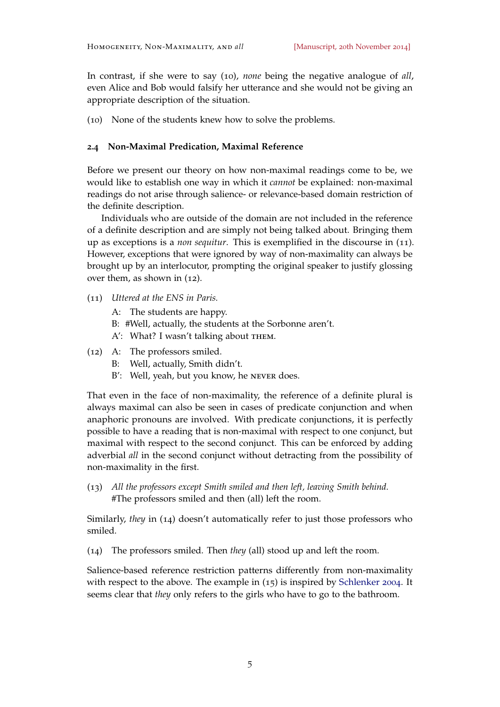In contrast, if she were to say (10), *none* being the negative analogue of *all*, even Alice and Bob would falsify her utterance and she would not be giving an appropriate description of the situation.

(10) None of the students knew how to solve the problems.

### **2.4 Non-Maximal Predication, Maximal Reference**

Before we present our theory on how non-maximal readings come to be, we would like to establish one way in which it *cannot* be explained: non-maximal readings do not arise through salience- or relevance-based domain restriction of the definite description.

Individuals who are outside of the domain are not included in the reference of a definite description and are simply not being talked about. Bringing them up as exceptions is a *non sequitur*. This is exemplified in the discourse in (11). However, exceptions that were ignored by way of non-maximality can always be brought up by an interlocutor, prompting the original speaker to justify glossing over them, as shown in (12).

- (11) *Uttered at the ENS in Paris.*
	- A: The students are happy.
	- B: #Well, actually, the students at the Sorbonne aren't.
	- A': What? I wasn't talking about THEM.
- (12) A: The professors smiled.
	- B: Well, actually, Smith didn't.
	- B': Well, yeah, but you know, he NEVER does.

That even in the face of non-maximality, the reference of a definite plural is always maximal can also be seen in cases of predicate conjunction and when anaphoric pronouns are involved. With predicate conjunctions, it is perfectly possible to have a reading that is non-maximal with respect to one conjunct, but maximal with respect to the second conjunct. This can be enforced by adding adverbial *all* in the second conjunct without detracting from the possibility of non-maximality in the first.

(13) *All the professors except Smith smiled and then left, leaving Smith behind.* #The professors smiled and then (all) left the room.

Similarly, *they* in (14) doesn't automatically refer to just those professors who smiled.

(14) The professors smiled. Then *they* (all) stood up and left the room.

Salience-based reference restriction patterns differently from non-maximality with respect to the above. The example in (15) is inspired by [Schlenker](#page-30-4) [2004](#page-30-4). It seems clear that *they* only refers to the girls who have to go to the bathroom.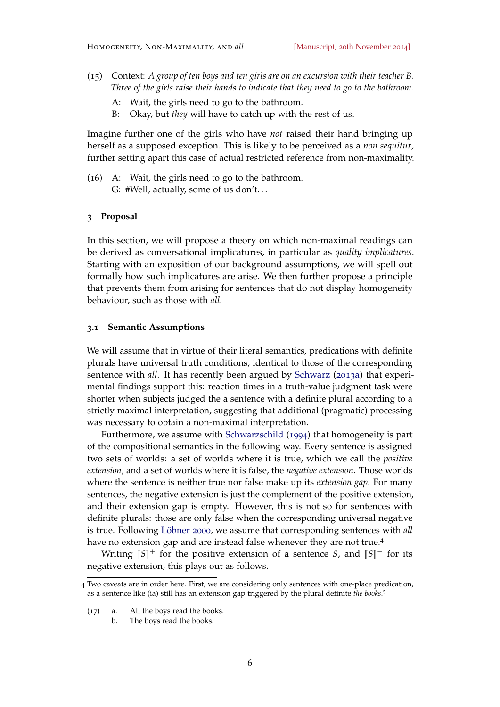- (15) Context: *A group of ten boys and ten girls are on an excursion with their teacher B. Three of the girls raise their hands to indicate that they need to go to the bathroom.*
	- A: Wait, the girls need to go to the bathroom.
	- B: Okay, but *they* will have to catch up with the rest of us.

Imagine further one of the girls who have *not* raised their hand bringing up herself as a supposed exception. This is likely to be perceived as a *non sequitur*, further setting apart this case of actual restricted reference from non-maximality.

(16) A: Wait, the girls need to go to the bathroom. G: #Well, actually, some of us don't. . .

# <span id="page-5-0"></span>**3 Proposal**

In this section, we will propose a theory on which non-maximal readings can be derived as conversational implicatures, in particular as *quality implicatures*. Starting with an exposition of our background assumptions, we will spell out formally how such implicatures are arise. We then further propose a principle that prevents them from arising for sentences that do not display homogeneity behaviour, such as those with *all*.

### **3.1 Semantic Assumptions**

We will assume that in virtue of their literal semantics, predications with definite plurals have universal truth conditions, identical to those of the corresponding sentence with *all*. It has recently been argued by [Schwarz](#page-30-5) ([2013](#page-30-5)a) that experimental findings support this: reaction times in a truth-value judgment task were shorter when subjects judged the a sentence with a definite plural according to a strictly maximal interpretation, suggesting that additional (pragmatic) processing was necessary to obtain a non-maximal interpretation.

Furthermore, we assume with [Schwarzschild](#page-30-1) ([1994](#page-30-1)) that homogeneity is part of the compositional semantics in the following way. Every sentence is assigned two sets of worlds: a set of worlds where it is true, which we call the *positive extension*, and a set of worlds where it is false, the *negative extension*. Those worlds where the sentence is neither true nor false make up its *extension gap*. For many sentences, the negative extension is just the complement of the positive extension, and their extension gap is empty. However, this is not so for sentences with definite plurals: those are only false when the corresponding universal negative is true. Following [Löbner](#page-29-4) [2000](#page-29-4), we assume that corresponding sentences with *all* have no extension gap and are instead false whenever they are not true.<sup>4</sup>

Writing  $\llbracket S \rrbracket^+$  for the positive extension of a sentence *S*, and  $\llbracket S \rrbracket^-$  for its negative extension, this plays out as follows.

<sup>4</sup> Two caveats are in order here. First, we are considering only sentences with one-place predication, as a sentence like (ia) still has an extension gap triggered by the plural definite *the books*. 5

<sup>(</sup>17) a. All the boys read the books.

b. The boys read the books.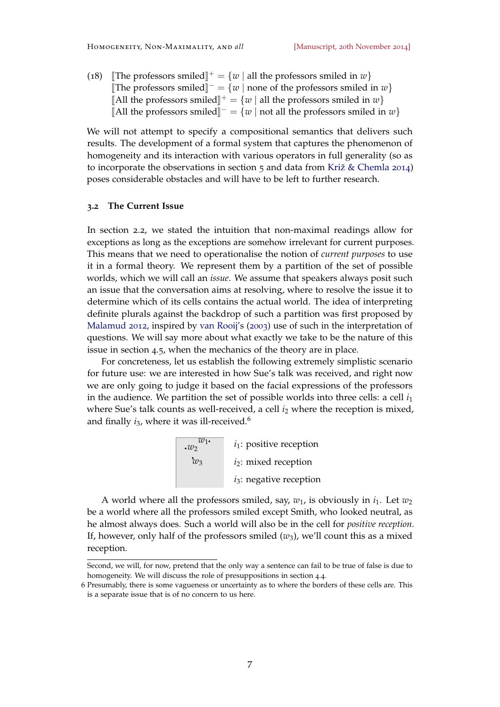(18) [The professors smiled]<sup> $+$ </sup> = {*w* | all the professors smiled in *w*} [The professors smiled]<sup> $-$ </sup> = {*w* | none of the professors smiled in *w*} [All the professors smiled]<sup> $+$ </sup> = {*w* | all the professors smiled in *w*} [All the professors smiled]<sup> $-$ </sup> = {*w* | not all the professors smiled in *w*}

We will not attempt to specify a compositional semantics that delivers such results. The development of a formal system that captures the phenomenon of homogeneity and its interaction with various operators in full generality (so as to incorporate the observations in section [5](#page-18-0) and data from [Križ & Chemla](#page-29-7) [2014](#page-29-7)) poses considerable obstacles and will have to be left to further research.

# **3.2 The Current Issue**

In section [2](#page-2-0).2, we stated the intuition that non-maximal readings allow for exceptions as long as the exceptions are somehow irrelevant for current purposes. This means that we need to operationalise the notion of *current purposes* to use it in a formal theory. We represent them by a partition of the set of possible worlds, which we will call an *issue*. We assume that speakers always posit such an issue that the conversation aims at resolving, where to resolve the issue it to determine which of its cells contains the actual world. The idea of interpreting definite plurals against the backdrop of such a partition was first proposed by [Malamud](#page-29-2) [2012](#page-29-2), inspired by [van Rooij'](#page-30-6)s ([2003](#page-30-6)) use of such in the interpretation of questions. We will say more about what exactly we take to be the nature of this issue in section [4](#page-15-0).5, when the mechanics of the theory are in place.

For concreteness, let us establish the following extremely simplistic scenario for future use: we are interested in how Sue's talk was received, and right now we are only going to judge it based on the facial expressions of the professors in the audience. We partition the set of possible worlds into three cells: a cell  $i_1$ where Sue's talk counts as well-received, a cell  $i<sub>2</sub>$  where the reception is mixed, and finally  $i_3$ , where it was ill-received.<sup>6</sup>



A world where all the professors smiled, say,  $w_1$ , is obviously in  $i_1$ . Let  $w_2$ be a world where all the professors smiled except Smith, who looked neutral, as he almost always does. Such a world will also be in the cell for *positive reception*. If, however, only half of the professors smiled (*w*3), we'll count this as a mixed reception.

Second, we will, for now, pretend that the only way a sentence can fail to be true of false is due to homogeneity. We will discuss the role of presuppositions in section [4](#page-12-0).4.

<sup>6</sup> Presumably, there is some vagueness or uncertainty as to where the borders of these cells are. This is a separate issue that is of no concern to us here.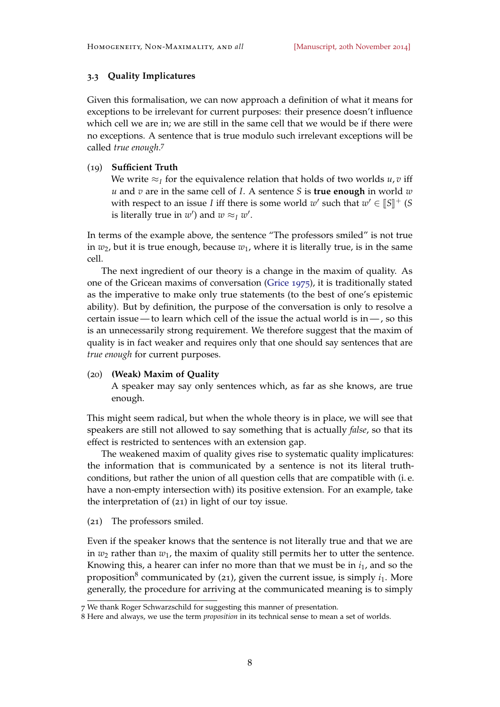# **3.3 Quality Implicatures**

Given this formalisation, we can now approach a definition of what it means for exceptions to be irrelevant for current purposes: their presence doesn't influence which cell we are in; we are still in the same cell that we would be if there were no exceptions. A sentence that is true modulo such irrelevant exceptions will be called *true enough*. 7

# (19) **Sufficient Truth**

We write  $\approx$ *I* for the equivalence relation that holds of two worlds *u*, *v* iff *u* and *v* are in the same cell of *I*. A sentence *S* is **true enough** in world *w* with respect to an issue *I* iff there is some world  $w'$  such that  $w' \in [S]^+$  (*S* is literally true in  $w'$ ) and  $w \approx_I w'$ .

In terms of the example above, the sentence "The professors smiled" is not true in  $w_2$ , but it is true enough, because  $w_1$ , where it is literally true, is in the same cell.

The next ingredient of our theory is a change in the maxim of quality. As one of the Gricean maxims of conversation [\(Grice](#page-28-2) [1975](#page-28-2)), it is traditionally stated as the imperative to make only true statements (to the best of one's epistemic ability). But by definition, the purpose of the conversation is only to resolve a certain issue— to learn which cell of the issue the actual world is in— , so this is an unnecessarily strong requirement. We therefore suggest that the maxim of quality is in fact weaker and requires only that one should say sentences that are *true enough* for current purposes.

# (20) **(Weak) Maxim of Quality**

A speaker may say only sentences which, as far as she knows, are true enough.

This might seem radical, but when the whole theory is in place, we will see that speakers are still not allowed to say something that is actually *false*, so that its effect is restricted to sentences with an extension gap.

The weakened maxim of quality gives rise to systematic quality implicatures: the information that is communicated by a sentence is not its literal truthconditions, but rather the union of all question cells that are compatible with (i. e. have a non-empty intersection with) its positive extension. For an example, take the interpretation of (21) in light of our toy issue.

<span id="page-7-0"></span>(21) The professors smiled.

Even if the speaker knows that the sentence is not literally true and that we are in  $w_2$  rather than  $w_1$ , the maxim of quality still permits her to utter the sentence. Knowing this, a hearer can infer no more than that we must be in *i*1, and so the proposition<sup>8</sup> communicated by ([21](#page-7-0)), given the current issue, is simply  $i_1$ . More generally, the procedure for arriving at the communicated meaning is to simply

<sup>7</sup> We thank Roger Schwarzschild for suggesting this manner of presentation.

<sup>8</sup> Here and always, we use the term *proposition* in its technical sense to mean a set of worlds.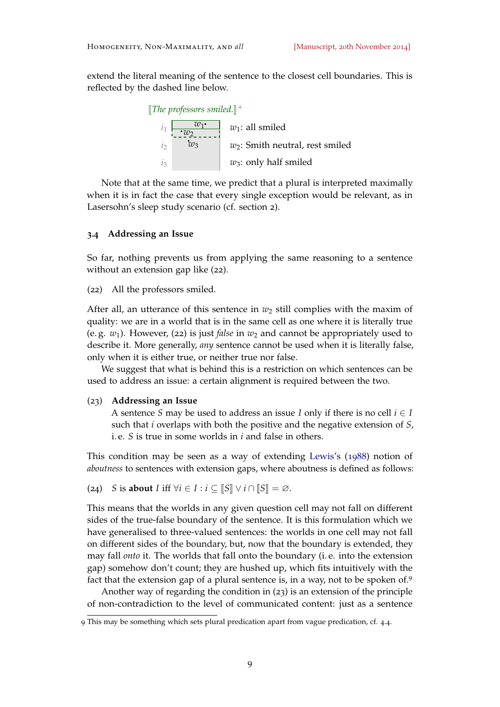extend the literal meaning of the sentence to the closest cell boundaries. This is reflected by the dashed line below.



Note that at the same time, we predict that a plural is interpreted maximally when it is in fact the case that every single exception would be relevant, as in Lasersohn's sleep study scenario (cf. section [2](#page-1-0)).

# **3.4 Addressing an Issue**

So far, nothing prevents us from applying the same reasoning to a sentence without an extension gap like (22).

<span id="page-8-1"></span>(22) All the professors smiled.

After all, an utterance of this sentence in  $w_2$  still complies with the maxim of quality: we are in a world that is in the same cell as one where it is literally true (e. g. *w*1). However, (22) is just *false* in *w*<sup>2</sup> and cannot be appropriately used to describe it. More generally, *any* sentence cannot be used when it is literally false, only when it is either true, or neither true nor false.

We suggest that what is behind this is a restriction on which sentences can be used to address an issue: a certain alignment is required between the two.

### <span id="page-8-0"></span>(23) **Addressing an Issue**

A sentence *S* may be used to address an issue *I* only if there is no cell  $i \in I$ such that *i* overlaps with both the positive and the negative extension of *S*, i. e. *S* is true in some worlds in *i* and false in others.

This condition may be seen as a way of extending [Lewis'](#page-29-8)s ([1988](#page-29-8)) notion of *aboutness* to sentences with extension gaps, where aboutness is defined as follows:

(24) *S* is **about** *I* iff  $\forall i \in I : i \subseteq \llbracket S \rrbracket \lor i \cap \llbracket S \rrbracket = \emptyset$ .

This means that the worlds in any given question cell may not fall on different sides of the true-false boundary of the sentence. It is this formulation which we have generalised to three-valued sentences: the worlds in one cell may not fall on different sides of the boundary, but, now that the boundary is extended, they may fall *onto* it. The worlds that fall onto the boundary (i. e. into the extension gap) somehow don't count; they are hushed up, which fits intuitively with the fact that the extension gap of a plural sentence is, in a way, not to be spoken of.<sup>9</sup>

Another way of regarding the condition in ([23](#page-8-0)) is an extension of the principle of non-contradiction to the level of communicated content: just as a sentence

<sup>9</sup> This may be something which sets plural predication apart from vague predication, cf. [4](#page-12-0).4.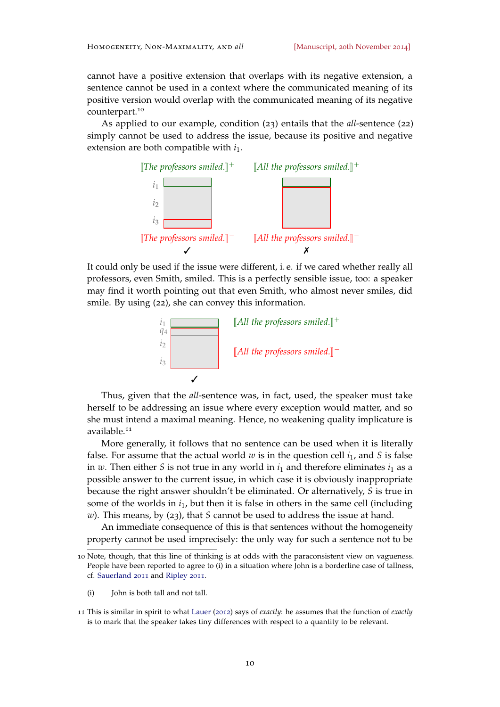cannot have a positive extension that overlaps with its negative extension, a sentence cannot be used in a context where the communicated meaning of its positive version would overlap with the communicated meaning of its negative counterpart.<sup>10</sup>

As applied to our example, condition ([23](#page-8-0)) entails that the *all*-sentence ([22](#page-8-1)) simply cannot be used to address the issue, because its positive and negative extension are both compatible with  $i_1$ .



It could only be used if the issue were different, i. e. if we cared whether really all professors, even Smith, smiled. This is a perfectly sensible issue, too: a speaker may find it worth pointing out that even Smith, who almost never smiles, did smile. By using ([22](#page-8-1)), she can convey this information.



Thus, given that the *all*-sentence was, in fact, used, the speaker must take herself to be addressing an issue where every exception would matter, and so she must intend a maximal meaning. Hence, no weakening quality implicature is available.<sup>11</sup>

More generally, it follows that no sentence can be used when it is literally false. For assume that the actual world  $w$  is in the question cell  $i_1$ , and  $S$  is false in *w*. Then either *S* is not true in any world in  $i_1$  and therefore eliminates  $i_1$  as a possible answer to the current issue, in which case it is obviously inappropriate because the right answer shouldn't be eliminated. Or alternatively, *S* is true in some of the worlds in  $i<sub>1</sub>$ , but then it is false in others in the same cell (including *w*). This means, by ([23](#page-8-0)), that *S* cannot be used to address the issue at hand.

An immediate consequence of this is that sentences without the homogeneity property cannot be used imprecisely: the only way for such a sentence not to be

(i) John is both tall and not tall.

<sup>10</sup> Note, though, that this line of thinking is at odds with the paraconsistent view on vagueness. People have been reported to agree to (i) in a situation where John is a borderline case of tallness, cf. [Sauerland](#page-30-7) [2011](#page-30-7) and [Ripley](#page-29-9) [2011](#page-29-9).

<sup>11</sup> This is similar in spirit to what [Lauer](#page-29-10) ([2012](#page-29-10)) says of *exactly*: he assumes that the function of *exactly* is to mark that the speaker takes tiny differences with respect to a quantity to be relevant.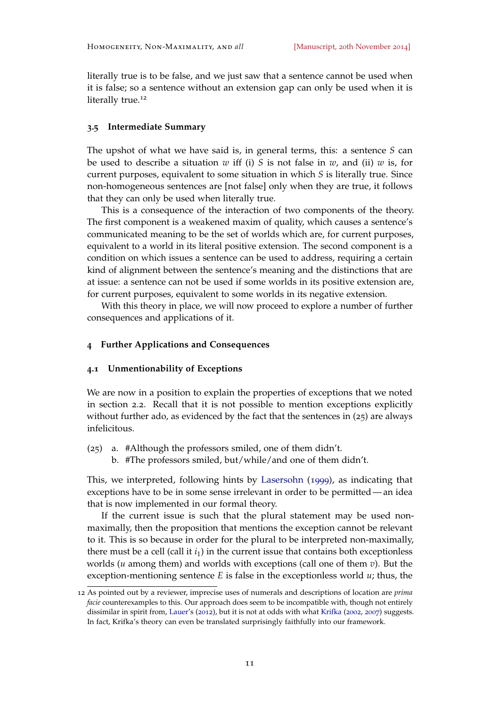literally true is to be false, and we just saw that a sentence cannot be used when it is false; so a sentence without an extension gap can only be used when it is literally true.<sup>12</sup>

### **3.5 Intermediate Summary**

The upshot of what we have said is, in general terms, this: a sentence *S* can be used to describe a situation *w* iff (i) *S* is not false in *w*, and (ii) *w* is, for current purposes, equivalent to some situation in which *S* is literally true. Since non-homogeneous sentences are [not false] only when they are true, it follows that they can only be used when literally true.

This is a consequence of the interaction of two components of the theory. The first component is a weakened maxim of quality, which causes a sentence's communicated meaning to be the set of worlds which are, for current purposes, equivalent to a world in its literal positive extension. The second component is a condition on which issues a sentence can be used to address, requiring a certain kind of alignment between the sentence's meaning and the distinctions that are at issue: a sentence can not be used if some worlds in its positive extension are, for current purposes, equivalent to some worlds in its negative extension.

With this theory in place, we will now proceed to explore a number of further consequences and applications of it.

# <span id="page-10-0"></span>**4 Further Applications and Consequences**

### **4.1 Unmentionability of Exceptions**

We are now in a position to explain the properties of exceptions that we noted in section [2](#page-2-0).2. Recall that it is not possible to mention exceptions explicitly without further ado, as evidenced by the fact that the sentences in (25) are always infelicitous.

- (25) a. #Although the professors smiled, one of them didn't.
	- b. #The professors smiled, but/while/and one of them didn't.

This, we interpreted, following hints by [Lasersohn](#page-29-0) ([1999](#page-29-0)), as indicating that exceptions have to be in some sense irrelevant in order to be permitted — an idea that is now implemented in our formal theory.

If the current issue is such that the plural statement may be used nonmaximally, then the proposition that mentions the exception cannot be relevant to it. This is so because in order for the plural to be interpreted non-maximally, there must be a cell (call it  $i_1$ ) in the current issue that contains both exceptionless worlds (*u* among them) and worlds with exceptions (call one of them *v*). But the exception-mentioning sentence *E* is false in the exceptionless world *u*; thus, the

<sup>12</sup> As pointed out by a reviewer, imprecise uses of numerals and descriptions of location are *prima facie* counterexamples to this. Our approach does seem to be incompatible with, though not entirely dissimilar in spirit from, [Lauer'](#page-29-10)s ([2012](#page-29-10)), but it is not at odds with what [Krifka](#page-28-3) ([2002](#page-28-3), [2007](#page-28-4)) suggests. In fact, Krifka's theory can even be translated surprisingly faithfully into our framework.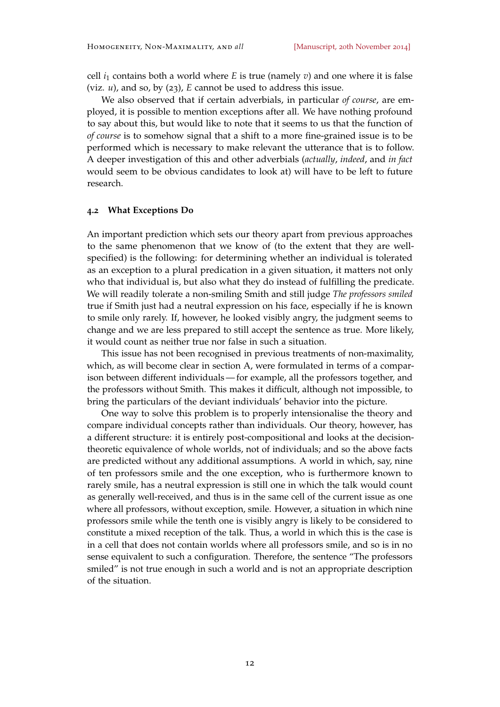cell  $i_1$  contains both a world where *E* is true (namely *v*) and one where it is false (viz. *u*), and so, by ([23](#page-8-0)), *E* cannot be used to address this issue.

We also observed that if certain adverbials, in particular *of course*, are employed, it is possible to mention exceptions after all. We have nothing profound to say about this, but would like to note that it seems to us that the function of *of course* is to somehow signal that a shift to a more fine-grained issue is to be performed which is necessary to make relevant the utterance that is to follow. A deeper investigation of this and other adverbials (*actually*, *indeed*, and *in fact* would seem to be obvious candidates to look at) will have to be left to future research.

### **4.2 What Exceptions Do**

An important prediction which sets our theory apart from previous approaches to the same phenomenon that we know of (to the extent that they are wellspecified) is the following: for determining whether an individual is tolerated as an exception to a plural predication in a given situation, it matters not only who that individual is, but also what they do instead of fulfilling the predicate. We will readily tolerate a non-smiling Smith and still judge *The professors smiled* true if Smith just had a neutral expression on his face, especially if he is known to smile only rarely. If, however, he looked visibly angry, the judgment seems to change and we are less prepared to still accept the sentence as true. More likely, it would count as neither true nor false in such a situation.

This issue has not been recognised in previous treatments of non-maximality, which, as will become clear in section [A,](#page-30-3) were formulated in terms of a comparison between different individuals — for example, all the professors together, and the professors without Smith. This makes it difficult, although not impossible, to bring the particulars of the deviant individuals' behavior into the picture.

One way to solve this problem is to properly intensionalise the theory and compare individual concepts rather than individuals. Our theory, however, has a different structure: it is entirely post-compositional and looks at the decisiontheoretic equivalence of whole worlds, not of individuals; and so the above facts are predicted without any additional assumptions. A world in which, say, nine of ten professors smile and the one exception, who is furthermore known to rarely smile, has a neutral expression is still one in which the talk would count as generally well-received, and thus is in the same cell of the current issue as one where all professors, without exception, smile. However, a situation in which nine professors smile while the tenth one is visibly angry is likely to be considered to constitute a mixed reception of the talk. Thus, a world in which this is the case is in a cell that does not contain worlds where all professors smile, and so is in no sense equivalent to such a configuration. Therefore, the sentence "The professors smiled" is not true enough in such a world and is not an appropriate description of the situation.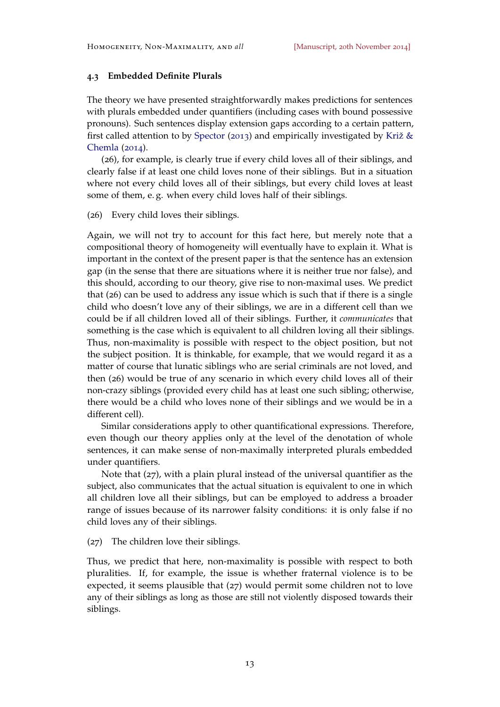# **4.3 Embedded Definite Plurals**

The theory we have presented straightforwardly makes predictions for sentences with plurals embedded under quantifiers (including cases with bound possessive pronouns). Such sentences display extension gaps according to a certain pattern, first called attention to by [Spector](#page-30-2) ([2013](#page-30-2)) and empirically investigated by [Križ &](#page-29-7) [Chemla](#page-29-7) ([2014](#page-29-7)).

(26), for example, is clearly true if every child loves all of their siblings, and clearly false if at least one child loves none of their siblings. But in a situation where not every child loves all of their siblings, but every child loves at least some of them, e. g. when every child loves half of their siblings.

(26) Every child loves their siblings.

Again, we will not try to account for this fact here, but merely note that a compositional theory of homogeneity will eventually have to explain it. What is important in the context of the present paper is that the sentence has an extension gap (in the sense that there are situations where it is neither true nor false), and this should, according to our theory, give rise to non-maximal uses. We predict that (26) can be used to address any issue which is such that if there is a single child who doesn't love any of their siblings, we are in a different cell than we could be if all children loved all of their siblings. Further, it *communicates* that something is the case which is equivalent to all children loving all their siblings. Thus, non-maximality is possible with respect to the object position, but not the subject position. It is thinkable, for example, that we would regard it as a matter of course that lunatic siblings who are serial criminals are not loved, and then (26) would be true of any scenario in which every child loves all of their non-crazy siblings (provided every child has at least one such sibling; otherwise, there would be a child who loves none of their siblings and we would be in a different cell).

Similar considerations apply to other quantificational expressions. Therefore, even though our theory applies only at the level of the denotation of whole sentences, it can make sense of non-maximally interpreted plurals embedded under quantifiers.

Note that (27), with a plain plural instead of the universal quantifier as the subject, also communicates that the actual situation is equivalent to one in which all children love all their siblings, but can be employed to address a broader range of issues because of its narrower falsity conditions: it is only false if no child loves any of their siblings.

(27) The children love their siblings.

<span id="page-12-0"></span>Thus, we predict that here, non-maximality is possible with respect to both pluralities. If, for example, the issue is whether fraternal violence is to be expected, it seems plausible that (27) would permit some children not to love any of their siblings as long as those are still not violently disposed towards their siblings.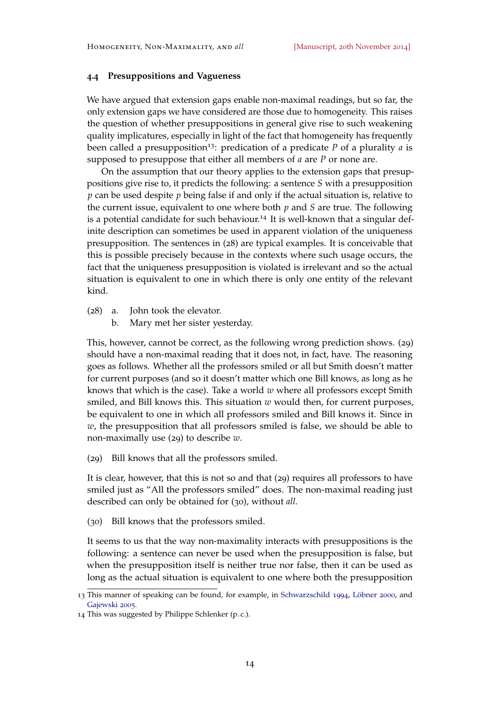### **4.4 Presuppositions and Vagueness**

We have argued that extension gaps enable non-maximal readings, but so far, the only extension gaps we have considered are those due to homogeneity. This raises the question of whether presuppositions in general give rise to such weakening quality implicatures, especially in light of the fact that homogeneity has frequently been called a presupposition13: predication of a predicate *P* of a plurality *a* is supposed to presuppose that either all members of *a* are *P* or none are.

On the assumption that our theory applies to the extension gaps that presuppositions give rise to, it predicts the following: a sentence *S* with a presupposition *p* can be used despite *p* being false if and only if the actual situation is, relative to the current issue, equivalent to one where both *p* and *S* are true. The following is a potential candidate for such behaviour.<sup>14</sup> It is well-known that a singular definite description can sometimes be used in apparent violation of the uniqueness presupposition. The sentences in (28) are typical examples. It is conceivable that this is possible precisely because in the contexts where such usage occurs, the fact that the uniqueness presupposition is violated is irrelevant and so the actual situation is equivalent to one in which there is only one entity of the relevant kind.

- (28) a. John took the elevator.
	- b. Mary met her sister yesterday.

This, however, cannot be correct, as the following wrong prediction shows. (29) should have a non-maximal reading that it does not, in fact, have. The reasoning goes as follows. Whether all the professors smiled or all but Smith doesn't matter for current purposes (and so it doesn't matter which one Bill knows, as long as he knows that which is the case). Take a world *w* where all professors except Smith smiled, and Bill knows this. This situation *w* would then, for current purposes, be equivalent to one in which all professors smiled and Bill knows it. Since in *w*, the presupposition that all professors smiled is false, we should be able to non-maximally use (29) to describe *w*.

(29) Bill knows that all the professors smiled.

It is clear, however, that this is not so and that (29) requires all professors to have smiled just as "All the professors smiled" does. The non-maximal reading just described can only be obtained for (30), without *all*.

(30) Bill knows that the professors smiled.

It seems to us that the way non-maximality interacts with presuppositions is the following: a sentence can never be used when the presupposition is false, but when the presupposition itself is neither true nor false, then it can be used as long as the actual situation is equivalent to one where both the presupposition

<sup>13</sup> This manner of speaking can be found, for example, in [Schwarzschild](#page-30-1) [1994](#page-30-1), [Löbner](#page-29-4) [2000](#page-29-4), and [Gajewski](#page-28-1) [2005](#page-28-1).

<sup>14</sup> This was suggested by Philippe Schlenker (p. c.).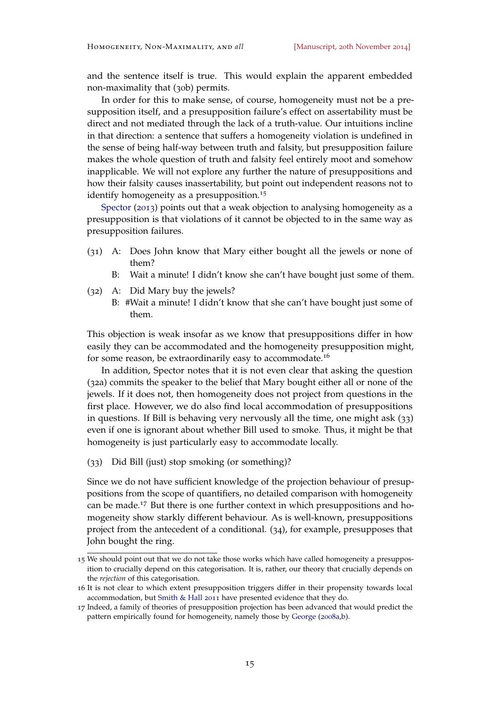and the sentence itself is true. This would explain the apparent embedded non-maximality that (30b) permits.

In order for this to make sense, of course, homogeneity must not be a presupposition itself, and a presupposition failure's effect on assertability must be direct and not mediated through the lack of a truth-value. Our intuitions incline in that direction: a sentence that suffers a homogeneity violation is undefined in the sense of being half-way between truth and falsity, but presupposition failure makes the whole question of truth and falsity feel entirely moot and somehow inapplicable. We will not explore any further the nature of presuppositions and how their falsity causes inassertability, but point out independent reasons not to identify homogeneity as a presupposition.<sup>15</sup>

[Spector](#page-30-2) ([2013](#page-30-2)) points out that a weak objection to analysing homogeneity as a presupposition is that violations of it cannot be objected to in the same way as presupposition failures.

- (31) A: Does John know that Mary either bought all the jewels or none of them?
	- B: Wait a minute! I didn't know she can't have bought just some of them.
- (32) A: Did Mary buy the jewels?
	- B: #Wait a minute! I didn't know that she can't have bought just some of them.

This objection is weak insofar as we know that presuppositions differ in how easily they can be accommodated and the homogeneity presupposition might, for some reason, be extraordinarily easy to accommodate.<sup>16</sup>

In addition, Spector notes that it is not even clear that asking the question (32a) commits the speaker to the belief that Mary bought either all or none of the jewels. If it does not, then homogeneity does not project from questions in the first place. However, we do also find local accommodation of presuppositions in questions. If Bill is behaving very nervously all the time, one might ask (33) even if one is ignorant about whether Bill used to smoke. Thus, it might be that homogeneity is just particularly easy to accommodate locally.

(33) Did Bill (just) stop smoking (or something)?

Since we do not have sufficient knowledge of the projection behaviour of presuppositions from the scope of quantifiers, no detailed comparison with homogeneity can be made.<sup>17</sup> But there is one further context in which presuppositions and homogeneity show starkly different behaviour. As is well-known, presuppositions project from the antecedent of a conditional. (34), for example, presupposes that John bought the ring.

<sup>15</sup> We should point out that we do not take those works which have called homogeneity a presupposition to crucially depend on this categorisation. It is, rather, our theory that crucially depends on the *rejection* of this categorisation.

<sup>16</sup> It is not clear to which extent presupposition triggers differ in their propensity towards local accommodation, but [Smith & Hall](#page-30-8) [2011](#page-30-8) have presented evidence that they do.

<sup>17</sup> Indeed, a family of theories of presupposition projection has been advanced that would predict the pattern empirically found for homogeneity, namely those by [George](#page-28-5) ([2008](#page-28-5)a[,b\)](#page-28-6).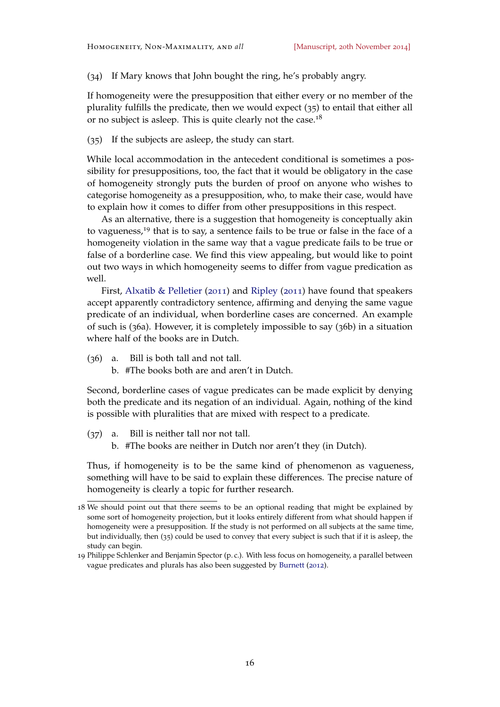(34) If Mary knows that John bought the ring, he's probably angry.

If homogeneity were the presupposition that either every or no member of the plurality fulfills the predicate, then we would expect ([35](#page-15-1)) to entail that either all or no subject is asleep. This is quite clearly not the case.<sup>18</sup>

<span id="page-15-1"></span>(35) If the subjects are asleep, the study can start.

While local accommodation in the antecedent conditional is sometimes a possibility for presuppositions, too, the fact that it would be obligatory in the case of homogeneity strongly puts the burden of proof on anyone who wishes to categorise homogeneity as a presupposition, who, to make their case, would have to explain how it comes to differ from other presuppositions in this respect.

As an alternative, there is a suggestion that homogeneity is conceptually akin to vagueness,<sup>19</sup> that is to say, a sentence fails to be true or false in the face of a homogeneity violation in the same way that a vague predicate fails to be true or false of a borderline case. We find this view appealing, but would like to point out two ways in which homogeneity seems to differ from vague predication as well.

First, [Alxatib & Pelletier](#page-27-3) ([2011](#page-27-3)) and [Ripley](#page-29-9) ([2011](#page-29-9)) have found that speakers accept apparently contradictory sentence, affirming and denying the same vague predicate of an individual, when borderline cases are concerned. An example of such is (36a). However, it is completely impossible to say (36b) in a situation where half of the books are in Dutch.

- (36) a. Bill is both tall and not tall.
	- b. #The books both are and aren't in Dutch.

Second, borderline cases of vague predicates can be made explicit by denying both the predicate and its negation of an individual. Again, nothing of the kind is possible with pluralities that are mixed with respect to a predicate.

- (37) a. Bill is neither tall nor not tall.
	- b. #The books are neither in Dutch nor aren't they (in Dutch).

Thus, if homogeneity is to be the same kind of phenomenon as vagueness, something will have to be said to explain these differences. The precise nature of homogeneity is clearly a topic for further research.

<span id="page-15-0"></span><sup>18</sup> We should point out that there seems to be an optional reading that might be explained by some sort of homogeneity projection, but it looks entirely different from what should happen if homogeneity were a presupposition. If the study is not performed on all subjects at the same time, but individually, then ([35](#page-15-1)) could be used to convey that every subject is such that if it is asleep, the study can begin.

<sup>19</sup> Philippe Schlenker and Benjamin Spector (p. c.). With less focus on homogeneity, a parallel between vague predicates and plurals has also been suggested by [Burnett](#page-28-7) ([2012](#page-28-7)).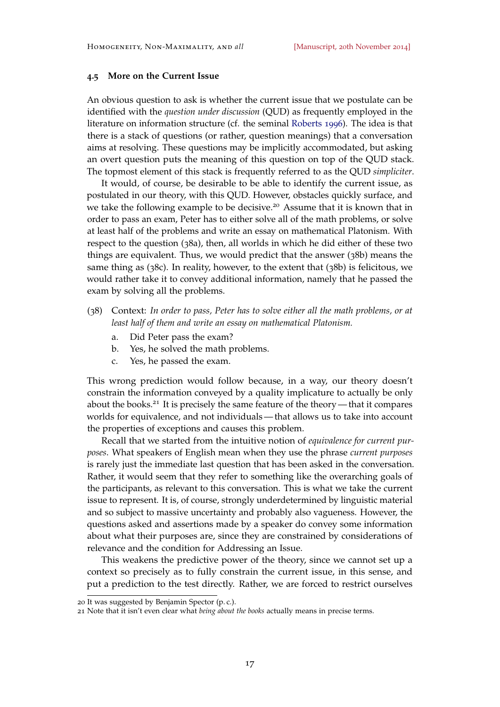# **4.5 More on the Current Issue**

An obvious question to ask is whether the current issue that we postulate can be identified with the *question under discussion* (QUD) as frequently employed in the literature on information structure (cf. the seminal [Roberts](#page-29-11) [1996](#page-29-11)). The idea is that there is a stack of questions (or rather, question meanings) that a conversation aims at resolving. These questions may be implicitly accommodated, but asking an overt question puts the meaning of this question on top of the QUD stack. The topmost element of this stack is frequently referred to as the QUD *simpliciter*.

It would, of course, be desirable to be able to identify the current issue, as postulated in our theory, with this QUD. However, obstacles quickly surface, and we take the following example to be decisive.<sup>20</sup> Assume that it is known that in order to pass an exam, Peter has to either solve all of the math problems, or solve at least half of the problems and write an essay on mathematical Platonism. With respect to the question (38[a\),](#page-16-0) then, all worlds in which he did either of these two things are equivalent. Thus, we would predict that the answer (38[b\)](#page-16-1) means the same thing as (38[c\).](#page-16-2) In reality, however, to the extent that (38[b\)](#page-16-1) is felicitous, we would rather take it to convey additional information, namely that he passed the exam by solving all the problems.

- <span id="page-16-3"></span><span id="page-16-0"></span>(38) Context: *In order to pass, Peter has to solve either all the math problems, or at least half of them and write an essay on mathematical Platonism.*
	- a. Did Peter pass the exam?
	- b. Yes, he solved the math problems.
	- c. Yes, he passed the exam.

<span id="page-16-2"></span><span id="page-16-1"></span>This wrong prediction would follow because, in a way, our theory doesn't constrain the information conveyed by a quality implicature to actually be only about the books.<sup>21</sup> It is precisely the same feature of the theory — that it compares worlds for equivalence, and not individuals — that allows us to take into account the properties of exceptions and causes this problem.

Recall that we started from the intuitive notion of *equivalence for current purposes*. What speakers of English mean when they use the phrase *current purposes* is rarely just the immediate last question that has been asked in the conversation. Rather, it would seem that they refer to something like the overarching goals of the participants, as relevant to this conversation. This is what we take the current issue to represent. It is, of course, strongly underdetermined by linguistic material and so subject to massive uncertainty and probably also vagueness. However, the questions asked and assertions made by a speaker do convey some information about what their purposes are, since they are constrained by considerations of relevance and the condition for Addressing an Issue.

This weakens the predictive power of the theory, since we cannot set up a context so precisely as to fully constrain the current issue, in this sense, and put a prediction to the test directly. Rather, we are forced to restrict ourselves

<sup>20</sup> It was suggested by Benjamin Spector (p. c.).

<sup>21</sup> Note that it isn't even clear what *being about the books* actually means in precise terms.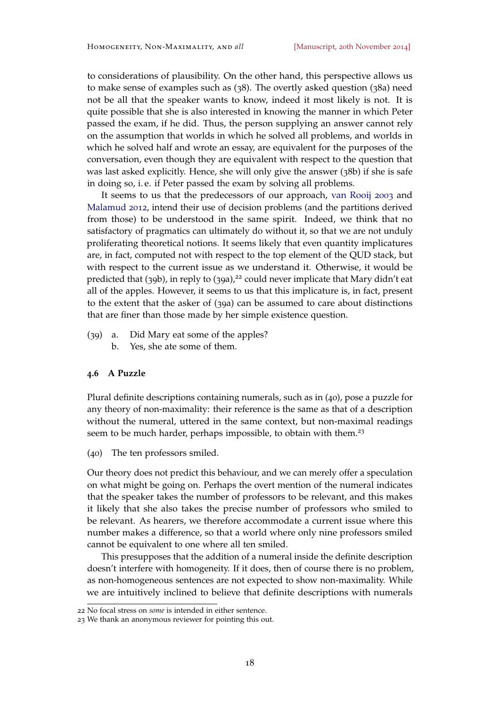to considerations of plausibility. On the other hand, this perspective allows us to make sense of examples such as ([38](#page-16-3)). The overtly asked question ([38](#page-16-0)a) need not be all that the speaker wants to know, indeed it most likely is not. It is quite possible that she is also interested in knowing the manner in which Peter passed the exam, if he did. Thus, the person supplying an answer cannot rely on the assumption that worlds in which he solved all problems, and worlds in which he solved half and wrote an essay, are equivalent for the purposes of the conversation, even though they are equivalent with respect to the question that was last asked explicitly. Hence, she will only give the answer (38[b\)](#page-16-1) if she is safe in doing so, i. e. if Peter passed the exam by solving all problems.

It seems to us that the predecessors of our approach, [van Rooij](#page-30-6) [2003](#page-30-6) and [Malamud](#page-29-2) [2012](#page-29-2), intend their use of decision problems (and the partitions derived from those) to be understood in the same spirit. Indeed, we think that no satisfactory of pragmatics can ultimately do without it, so that we are not unduly proliferating theoretical notions. It seems likely that even quantity implicatures are, in fact, computed not with respect to the top element of the QUD stack, but with respect to the current issue as we understand it. Otherwise, it would be predicted that (39b), in reply to (39a),<sup>22</sup> could never implicate that Mary didn't eat all of the apples. However, it seems to us that this implicature is, in fact, present to the extent that the asker of (39a) can be assumed to care about distinctions that are finer than those made by her simple existence question.

- (39) a. Did Mary eat some of the apples?
	- b. Yes, she ate some of them.

# **4.6 A Puzzle**

Plural definite descriptions containing numerals, such as in ([40](#page-17-0)), pose a puzzle for any theory of non-maximality: their reference is the same as that of a description without the numeral, uttered in the same context, but non-maximal readings seem to be much harder, perhaps impossible, to obtain with them.<sup>23</sup>

<span id="page-17-0"></span>(40) The ten professors smiled.

Our theory does not predict this behaviour, and we can merely offer a speculation on what might be going on. Perhaps the overt mention of the numeral indicates that the speaker takes the number of professors to be relevant, and this makes it likely that she also takes the precise number of professors who smiled to be relevant. As hearers, we therefore accommodate a current issue where this number makes a difference, so that a world where only nine professors smiled cannot be equivalent to one where all ten smiled.

This presupposes that the addition of a numeral inside the definite description doesn't interfere with homogeneity. If it does, then of course there is no problem, as non-homogeneous sentences are not expected to show non-maximality. While we are intuitively inclined to believe that definite descriptions with numerals

<sup>22</sup> No focal stress on *some* is intended in either sentence.

<sup>23</sup> We thank an anonymous reviewer for pointing this out.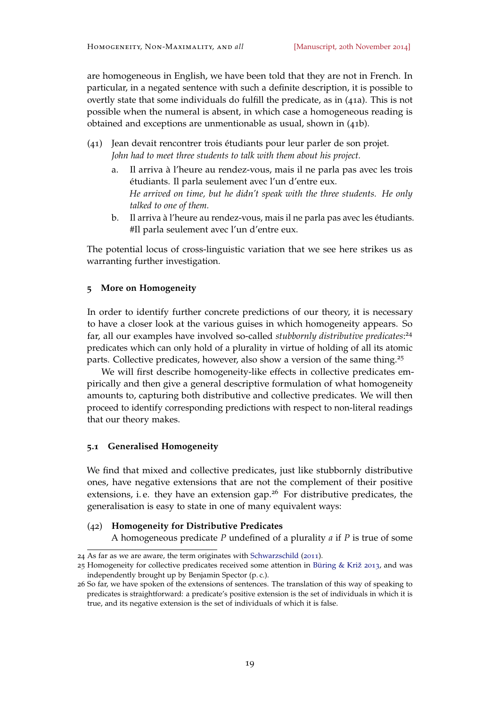are homogeneous in English, we have been told that they are not in French. In particular, in a negated sentence with such a definite description, it is possible to overtly state that some individuals do fulfill the predicate, as in (41a). This is not possible when the numeral is absent, in which case a homogeneous reading is obtained and exceptions are unmentionable as usual, shown in (41b).

- (41) Jean devait rencontrer trois étudiants pour leur parler de son projet. *John had to meet three students to talk with them about his project.*
	- a. Il arriva à l'heure au rendez-vous, mais il ne parla pas avec les trois étudiants. Il parla seulement avec l'un d'entre eux. *He arrived on time, but he didn't speak with the three students. He only talked to one of them.*
	- b. Il arriva à l'heure au rendez-vous, mais il ne parla pas avec les étudiants. #Il parla seulement avec l'un d'entre eux.

The potential locus of cross-linguistic variation that we see here strikes us as warranting further investigation.

# <span id="page-18-0"></span>**5 More on Homogeneity**

In order to identify further concrete predictions of our theory, it is necessary to have a closer look at the various guises in which homogeneity appears. So far, all our examples have involved so-called *stubbornly distributive predicates*: 24 predicates which can only hold of a plurality in virtue of holding of all its atomic parts. Collective predicates, however, also show a version of the same thing.<sup>25</sup>

We will first describe homogeneity-like effects in collective predicates empirically and then give a general descriptive formulation of what homogeneity amounts to, capturing both distributive and collective predicates. We will then proceed to identify corresponding predictions with respect to non-literal readings that our theory makes.

# <span id="page-18-1"></span>**5.1 Generalised Homogeneity**

We find that mixed and collective predicates, just like stubbornly distributive ones, have negative extensions that are not the complement of their positive extensions, i.e. they have an extension gap.<sup>26</sup> For distributive predicates, the generalisation is easy to state in one of many equivalent ways:

### (42) **Homogeneity for Distributive Predicates**

A homogeneous predicate *P* undefined of a plurality *a* if *P* is true of some

<sup>24</sup> As far as we are aware, the term originates with [Schwarzschild](#page-30-9) ([2011](#page-30-9)).

<sup>25</sup> Homogeneity for collective predicates received some attention in [Büring & Križ](#page-27-2) [2013](#page-27-2), and was independently brought up by Benjamin Spector (p. c.).

<sup>26</sup> So far, we have spoken of the extensions of sentences. The translation of this way of speaking to predicates is straightforward: a predicate's positive extension is the set of individuals in which it is true, and its negative extension is the set of individuals of which it is false.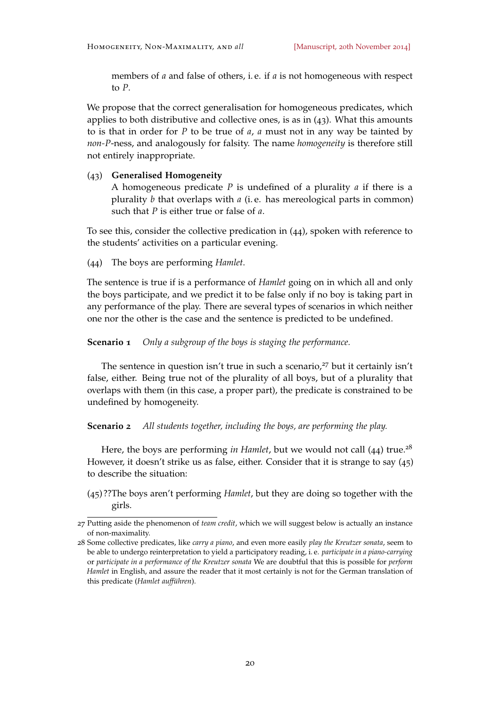members of *a* and false of others, i. e. if *a* is not homogeneous with respect to *P*.

We propose that the correct generalisation for homogeneous predicates, which applies to both distributive and collective ones, is as in  $(43)$ . What this amounts to is that in order for *P* to be true of *a*, *a* must not in any way be tainted by *non-P*-ness, and analogously for falsity. The name *homogeneity* is therefore still not entirely inappropriate.

# (43) **Generalised Homogeneity**

A homogeneous predicate *P* is undefined of a plurality *a* if there is a plurality *b* that overlaps with *a* (i. e. has mereological parts in common) such that *P* is either true or false of *a*.

To see this, consider the collective predication in (44), spoken with reference to the students' activities on a particular evening.

<span id="page-19-0"></span>(44) The boys are performing *Hamlet*.

The sentence is true if is a performance of *Hamlet* going on in which all and only the boys participate, and we predict it to be false only if no boy is taking part in any performance of the play. There are several types of scenarios in which neither one nor the other is the case and the sentence is predicted to be undefined.

**Scenario 1** *Only a subgroup of the boys is staging the performance.*

The sentence in question isn't true in such a scenario, $27$  but it certainly isn't false, either. Being true not of the plurality of all boys, but of a plurality that overlaps with them (in this case, a proper part), the predicate is constrained to be undefined by homogeneity.

### **Scenario 2** *All students together, including the boys, are performing the play.*

Here, the boys are performing *in Hamlet*, but we would not call  $(44)$  $(44)$  $(44)$  true.<sup>28</sup> However, it doesn't strike us as false, either. Consider that it is strange to say (45) to describe the situation:

(45) ??The boys aren't performing *Hamlet*, but they are doing so together with the girls.

<sup>27</sup> Putting aside the phenomenon of *team credit*, which we will suggest below is actually an instance of non-maximality.

<sup>28</sup> Some collective predicates, like *carry a piano*, and even more easily *play the Kreutzer sonata*, seem to be able to undergo reinterpretation to yield a participatory reading, i. e. *participate in a piano-carrying* or *participate in a performance of the Kreutzer sonata* We are doubtful that this is possible for *perform Hamlet* in English, and assure the reader that it most certainly is not for the German translation of this predicate (*Hamlet aufführen*).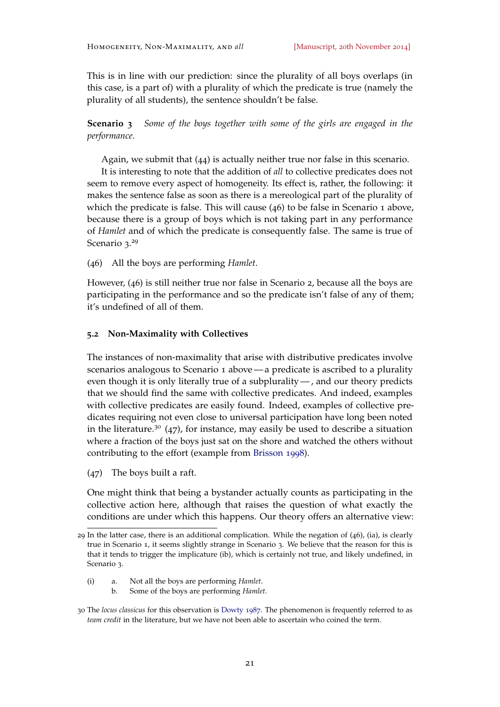This is in line with our prediction: since the plurality of all boys overlaps (in this case, is a part of) with a plurality of which the predicate is true (namely the plurality of all students), the sentence shouldn't be false.

**Scenario 3** *Some of the boys together with some of the girls are engaged in the performance.*

Again, we submit that ([44](#page-19-0)) is actually neither true nor false in this scenario.

It is interesting to note that the addition of *all* to collective predicates does not seem to remove every aspect of homogeneity. Its effect is, rather, the following: it makes the sentence false as soon as there is a mereological part of the plurality of which the predicate is false. This will cause ([46](#page-20-0)) to be false in Scenario 1 above, because there is a group of boys which is not taking part in any performance of *Hamlet* and of which the predicate is consequently false. The same is true of Scenario 3.<sup>29</sup>

<span id="page-20-0"></span>(46) All the boys are performing *Hamlet*.

However, ([46](#page-20-0)) is still neither true nor false in Scenario 2, because all the boys are participating in the performance and so the predicate isn't false of any of them; it's undefined of all of them.

#### <span id="page-20-1"></span>**5.2 Non-Maximality with Collectives**

The instances of non-maximality that arise with distributive predicates involve scenarios analogous to Scenario 1 above— a predicate is ascribed to a plurality even though it is only literally true of a subplurality — , and our theory predicts that we should find the same with collective predicates. And indeed, examples with collective predicates are easily found. Indeed, examples of collective predicates requiring not even close to universal participation have long been noted in the literature.<sup>30</sup> (47), for instance, may easily be used to describe a situation where a fraction of the boys just sat on the shore and watched the others without contributing to the effort (example from [Brisson](#page-27-0) [1998](#page-27-0)).

(47) The boys built a raft.

One might think that being a bystander actually counts as participating in the collective action here, although that raises the question of what exactly the conditions are under which this happens. Our theory offers an alternative view:

- (i) a. Not all the boys are performing *Hamlet*.
	- b. Some of the boys are performing *Hamlet*.

<sup>29</sup> In the latter case, there is an additional complication. While the negation of  $(46)$  $(46)$  $(46)$ ,  $(ia)$ , is clearly true in Scenario 1, it seems slightly strange in Scenario 3. We believe that the reason for this is that it tends to trigger the implicature (ib), which is certainly not true, and likely undefined, in Scenario 3.

<sup>30</sup> The *locus classicus* for this observation is [Dowty](#page-28-0) [1987](#page-28-0). The phenomenon is frequently referred to as *team credit* in the literature, but we have not been able to ascertain who coined the term.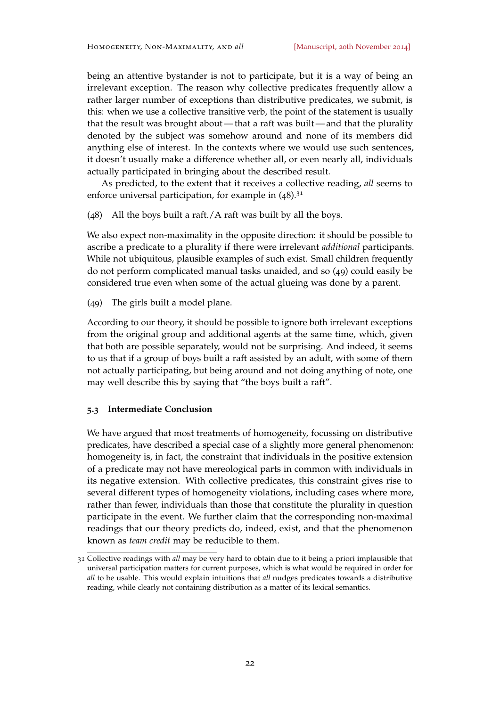being an attentive bystander is not to participate, but it is a way of being an irrelevant exception. The reason why collective predicates frequently allow a rather larger number of exceptions than distributive predicates, we submit, is this: when we use a collective transitive verb, the point of the statement is usually that the result was brought about — that a raft was built — and that the plurality denoted by the subject was somehow around and none of its members did anything else of interest. In the contexts where we would use such sentences, it doesn't usually make a difference whether all, or even nearly all, individuals actually participated in bringing about the described result.

As predicted, to the extent that it receives a collective reading, *all* seems to enforce universal participation, for example in  $(48).$ <sup>31</sup>

(48) All the boys built a raft./A raft was built by all the boys.

We also expect non-maximality in the opposite direction: it should be possible to ascribe a predicate to a plurality if there were irrelevant *additional* participants. While not ubiquitous, plausible examples of such exist. Small children frequently do not perform complicated manual tasks unaided, and so (49) could easily be considered true even when some of the actual glueing was done by a parent.

(49) The girls built a model plane.

According to our theory, it should be possible to ignore both irrelevant exceptions from the original group and additional agents at the same time, which, given that both are possible separately, would not be surprising. And indeed, it seems to us that if a group of boys built a raft assisted by an adult, with some of them not actually participating, but being around and not doing anything of note, one may well describe this by saying that "the boys built a raft".

# **5.3 Intermediate Conclusion**

We have argued that most treatments of homogeneity, focussing on distributive predicates, have described a special case of a slightly more general phenomenon: homogeneity is, in fact, the constraint that individuals in the positive extension of a predicate may not have mereological parts in common with individuals in its negative extension. With collective predicates, this constraint gives rise to several different types of homogeneity violations, including cases where more, rather than fewer, individuals than those that constitute the plurality in question participate in the event. We further claim that the corresponding non-maximal readings that our theory predicts do, indeed, exist, and that the phenomenon known as *team credit* may be reducible to them.

<span id="page-21-0"></span><sup>31</sup> Collective readings with *all* may be very hard to obtain due to it being a priori implausible that universal participation matters for current purposes, which is what would be required in order for *all* to be usable. This would explain intuitions that *all* nudges predicates towards a distributive reading, while clearly not containing distribution as a matter of its lexical semantics.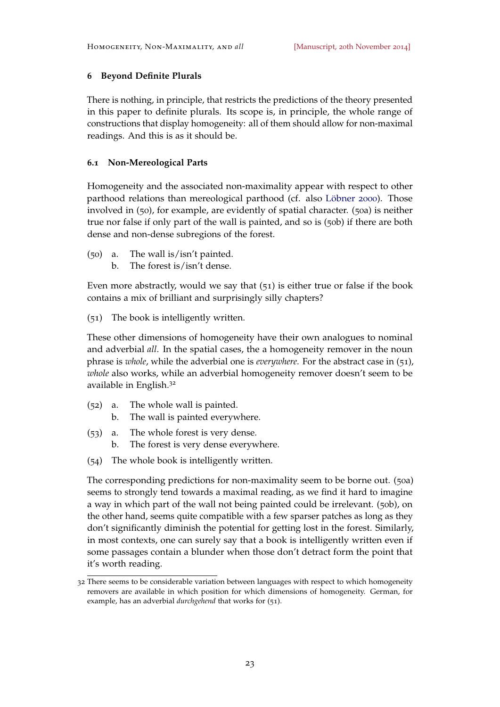# **6 Beyond Definite Plurals**

There is nothing, in principle, that restricts the predictions of the theory presented in this paper to definite plurals. Its scope is, in principle, the whole range of constructions that display homogeneity: all of them should allow for non-maximal readings. And this is as it should be.

# **6.1 Non-Mereological Parts**

Homogeneity and the associated non-maximality appear with respect to other parthood relations than mereological parthood (cf. also [Löbner](#page-29-4) [2000](#page-29-4)). Those involved in ([50](#page-22-0)), for example, are evidently of spatial character. ([50](#page-22-1)a) is neither true nor false if only part of the wall is painted, and so is (50[b\)](#page-22-2) if there are both dense and non-dense subregions of the forest.

- <span id="page-22-2"></span><span id="page-22-1"></span><span id="page-22-0"></span>(50) a. The wall is/isn't painted.
	- b. The forest is/isn't dense.

Even more abstractly, would we say that (51) is either true or false if the book contains a mix of brilliant and surprisingly silly chapters?

<span id="page-22-3"></span>(51) The book is intelligently written.

These other dimensions of homogeneity have their own analogues to nominal and adverbial *all*. In the spatial cases, the a homogeneity remover in the noun phrase is *whole*, while the adverbial one is *everywhere*. For the abstract case in ([51](#page-22-3)), *whole* also works, while an adverbial homogeneity remover doesn't seem to be available in English.<sup>32</sup>

- (52) a. The whole wall is painted.
	- b. The wall is painted everywhere.
- (53) a. The whole forest is very dense.
	- b. The forest is very dense everywhere.
- (54) The whole book is intelligently written.

The corresponding predictions for non-maximality seem to be borne out. (50[a\)](#page-22-1) seems to strongly tend towards a maximal reading, as we find it hard to imagine a way in which part of the wall not being painted could be irrelevant. (50[b\),](#page-22-2) on the other hand, seems quite compatible with a few sparser patches as long as they don't significantly diminish the potential for getting lost in the forest. Similarly, in most contexts, one can surely say that a book is intelligently written even if some passages contain a blunder when those don't detract form the point that it's worth reading.

<sup>32</sup> There seems to be considerable variation between languages with respect to which homogeneity removers are available in which position for which dimensions of homogeneity. German, for example, has an adverbial *durchgehend* that works for ([51](#page-22-3)).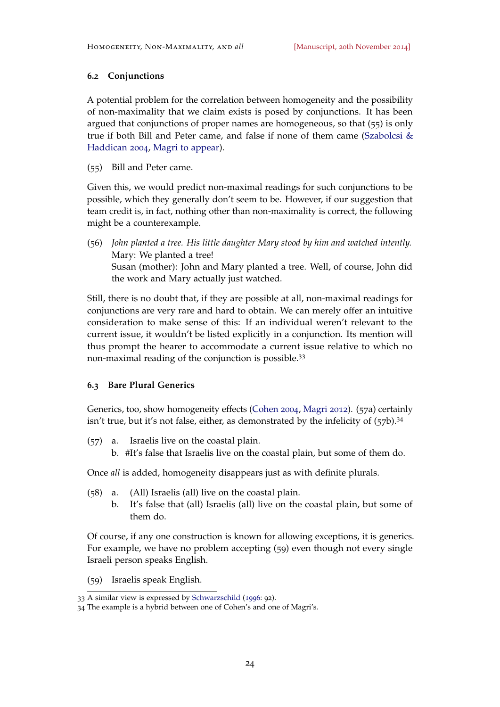# **6.2 Conjunctions**

A potential problem for the correlation between homogeneity and the possibility of non-maximality that we claim exists is posed by conjunctions. It has been argued that conjunctions of proper names are homogeneous, so that (55) is only true if both Bill and Peter came, and false if none of them came [\(Szabolcsi &](#page-30-10) [Haddican](#page-30-10) [2004](#page-30-10), [Magri](#page-29-5) [to appear\)](#page-29-5).

(55) Bill and Peter came.

Given this, we would predict non-maximal readings for such conjunctions to be possible, which they generally don't seem to be. However, if our suggestion that team credit is, in fact, nothing other than non-maximality is correct, the following might be a counterexample.

(56) *John planted a tree. His little daughter Mary stood by him and watched intently.* Mary: We planted a tree! Susan (mother): John and Mary planted a tree. Well, of course, John did the work and Mary actually just watched.

Still, there is no doubt that, if they are possible at all, non-maximal readings for conjunctions are very rare and hard to obtain. We can merely offer an intuitive consideration to make sense of this: If an individual weren't relevant to the current issue, it wouldn't be listed explicitly in a conjunction. Its mention will thus prompt the hearer to accommodate a current issue relative to which no non-maximal reading of the conjunction is possible.<sup>33</sup>

# **6.3 Bare Plural Generics**

Generics, too, show homogeneity effects [\(Cohen](#page-28-8) [2004](#page-28-8), [Magri](#page-29-12) [2012](#page-29-12)). (57a) certainly isn't true, but it's not false, either, as demonstrated by the infelicity of  $(57b)$ .<sup>34</sup>

- (57) a. Israelis live on the coastal plain.
	- b. #It's false that Israelis live on the coastal plain, but some of them do.

Once *all* is added, homogeneity disappears just as with definite plurals.

- (58) a. (All) Israelis (all) live on the coastal plain.
	- b. It's false that (all) Israelis (all) live on the coastal plain, but some of them do.

Of course, if any one construction is known for allowing exceptions, it is generics. For example, we have no problem accepting (59) even though not every single Israeli person speaks English.

<span id="page-23-0"></span>(59) Israelis speak English.

<sup>33</sup> A similar view is expressed by [Schwarzschild](#page-30-11) ([1996](#page-30-11): 92).

<sup>34</sup> The example is a hybrid between one of Cohen's and one of Magri's.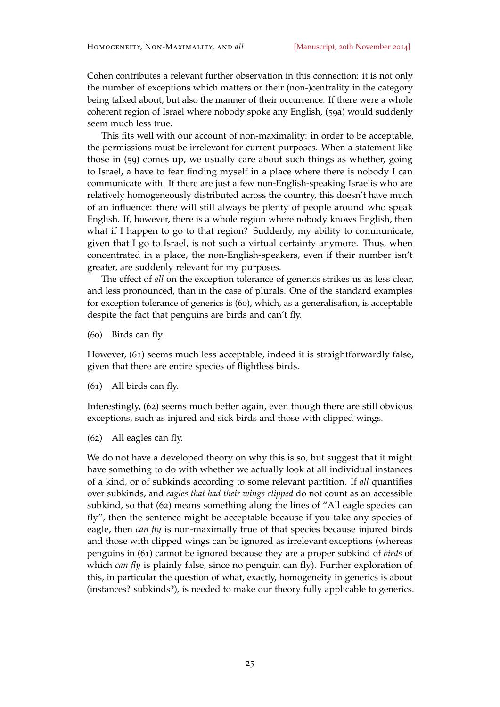Cohen contributes a relevant further observation in this connection: it is not only the number of exceptions which matters or their (non-)centrality in the category being talked about, but also the manner of their occurrence. If there were a whole coherent region of Israel where nobody spoke any English, (59a) would suddenly seem much less true.

This fits well with our account of non-maximality: in order to be acceptable, the permissions must be irrelevant for current purposes. When a statement like those in ([59](#page-23-0)) comes up, we usually care about such things as whether, going to Israel, a have to fear finding myself in a place where there is nobody I can communicate with. If there are just a few non-English-speaking Israelis who are relatively homogeneously distributed across the country, this doesn't have much of an influence: there will still always be plenty of people around who speak English. If, however, there is a whole region where nobody knows English, then what if I happen to go to that region? Suddenly, my ability to communicate, given that I go to Israel, is not such a virtual certainty anymore. Thus, when concentrated in a place, the non-English-speakers, even if their number isn't greater, are suddenly relevant for my purposes.

The effect of *all* on the exception tolerance of generics strikes us as less clear, and less pronounced, than in the case of plurals. One of the standard examples for exception tolerance of generics is ([60](#page-24-0)), which, as a generalisation, is acceptable despite the fact that penguins are birds and can't fly.

<span id="page-24-0"></span>(60) Birds can fly.

However, ([61](#page-24-1)) seems much less acceptable, indeed it is straightforwardly false, given that there are entire species of flightless birds.

<span id="page-24-1"></span>(61) All birds can fly.

Interestingly, ([62](#page-24-2)) seems much better again, even though there are still obvious exceptions, such as injured and sick birds and those with clipped wings.

<span id="page-24-2"></span>(62) All eagles can fly.

We do not have a developed theory on why this is so, but suggest that it might have something to do with whether we actually look at all individual instances of a kind, or of subkinds according to some relevant partition. If *all* quantifies over subkinds, and *eagles that had their wings clipped* do not count as an accessible subkind, so that ([62](#page-24-2)) means something along the lines of "All eagle species can fly", then the sentence might be acceptable because if you take any species of eagle, then *can fly* is non-maximally true of that species because injured birds and those with clipped wings can be ignored as irrelevant exceptions (whereas penguins in ([61](#page-24-1)) cannot be ignored because they are a proper subkind of *birds* of which *can fly* is plainly false, since no penguin can fly). Further exploration of this, in particular the question of what, exactly, homogeneity in generics is about (instances? subkinds?), is needed to make our theory fully applicable to generics.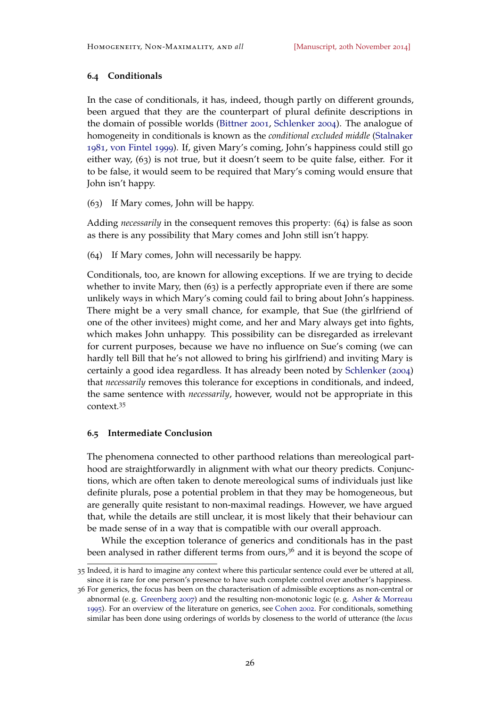# **6.4 Conditionals**

In the case of conditionals, it has, indeed, though partly on different grounds, been argued that they are the counterpart of plural definite descriptions in the domain of possible worlds [\(Bittner](#page-27-4) [2001](#page-27-4), [Schlenker](#page-30-4) [2004](#page-30-4)). The analogue of homogeneity in conditionals is known as the *conditional excluded middle* [\(Stalnaker](#page-30-12) [1981](#page-30-12), [von Fintel](#page-28-9) [1999](#page-28-9)). If, given Mary's coming, John's happiness could still go either way, (63) is not true, but it doesn't seem to be quite false, either. For it to be false, it would seem to be required that Mary's coming would ensure that John isn't happy.

<span id="page-25-0"></span>(63) If Mary comes, John will be happy.

Adding *necessarily* in the consequent removes this property: (64) is false as soon as there is any possibility that Mary comes and John still isn't happy.

(64) If Mary comes, John will necessarily be happy.

Conditionals, too, are known for allowing exceptions. If we are trying to decide whether to invite Mary, then  $(63)$  $(63)$  $(63)$  is a perfectly appropriate even if there are some unlikely ways in which Mary's coming could fail to bring about John's happiness. There might be a very small chance, for example, that Sue (the girlfriend of one of the other invitees) might come, and her and Mary always get into fights, which makes John unhappy. This possibility can be disregarded as irrelevant for current purposes, because we have no influence on Sue's coming (we can hardly tell Bill that he's not allowed to bring his girlfriend) and inviting Mary is certainly a good idea regardless. It has already been noted by [Schlenker](#page-30-4) ([2004](#page-30-4)) that *necessarily* removes this tolerance for exceptions in conditionals, and indeed, the same sentence with *necessarily*, however, would not be appropriate in this context.<sup>35</sup>

#### **6.5 Intermediate Conclusion**

The phenomena connected to other parthood relations than mereological parthood are straightforwardly in alignment with what our theory predicts. Conjunctions, which are often taken to denote mereological sums of individuals just like definite plurals, pose a potential problem in that they may be homogeneous, but are generally quite resistant to non-maximal readings. However, we have argued that, while the details are still unclear, it is most likely that their behaviour can be made sense of in a way that is compatible with our overall approach.

While the exception tolerance of generics and conditionals has in the past been analysed in rather different terms from ours, $3<sup>6</sup>$  and it is beyond the scope of

<sup>35</sup> Indeed, it is hard to imagine any context where this particular sentence could ever be uttered at all, since it is rare for one person's presence to have such complete control over another's happiness.

<sup>36</sup> For generics, the focus has been on the characterisation of admissible exceptions as non-central or abnormal (e. g. [Greenberg](#page-28-10) [2007](#page-28-10)) and the resulting non-monotonic logic (e. g. [Asher & Morreau](#page-27-5) [1995](#page-27-5)). For an overview of the literature on generics, see [Cohen](#page-28-11) [2002](#page-28-11). For conditionals, something similar has been done using orderings of worlds by closeness to the world of utterance (the *locus*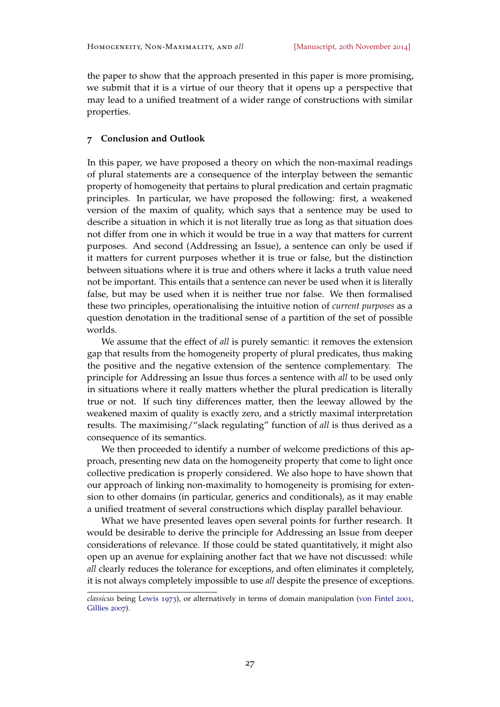the paper to show that the approach presented in this paper is more promising, we submit that it is a virtue of our theory that it opens up a perspective that may lead to a unified treatment of a wider range of constructions with similar properties.

### **7 Conclusion and Outlook**

In this paper, we have proposed a theory on which the non-maximal readings of plural statements are a consequence of the interplay between the semantic property of homogeneity that pertains to plural predication and certain pragmatic principles. In particular, we have proposed the following: first, a weakened version of the maxim of quality, which says that a sentence may be used to describe a situation in which it is not literally true as long as that situation does not differ from one in which it would be true in a way that matters for current purposes. And second (Addressing an Issue), a sentence can only be used if it matters for current purposes whether it is true or false, but the distinction between situations where it is true and others where it lacks a truth value need not be important. This entails that a sentence can never be used when it is literally false, but may be used when it is neither true nor false. We then formalised these two principles, operationalising the intuitive notion of *current purposes* as a question denotation in the traditional sense of a partition of the set of possible worlds.

We assume that the effect of *all* is purely semantic: it removes the extension gap that results from the homogeneity property of plural predicates, thus making the positive and the negative extension of the sentence complementary. The principle for Addressing an Issue thus forces a sentence with *all* to be used only in situations where it really matters whether the plural predication is literally true or not. If such tiny differences matter, then the leeway allowed by the weakened maxim of quality is exactly zero, and a strictly maximal interpretation results. The maximising/"slack regulating" function of *all* is thus derived as a consequence of its semantics.

We then proceeded to identify a number of welcome predictions of this approach, presenting new data on the homogeneity property that come to light once collective predication is properly considered. We also hope to have shown that our approach of linking non-maximality to homogeneity is promising for extension to other domains (in particular, generics and conditionals), as it may enable a unified treatment of several constructions which display parallel behaviour.

What we have presented leaves open several points for further research. It would be desirable to derive the principle for Addressing an Issue from deeper considerations of relevance. If those could be stated quantitatively, it might also open up an avenue for explaining another fact that we have not discussed: while *all* clearly reduces the tolerance for exceptions, and often eliminates it completely, it is not always completely impossible to use *all* despite the presence of exceptions.

*classicus* being [Lewis](#page-29-13) [1973](#page-29-13)), or alternatively in terms of domain manipulation [\(von Fintel](#page-28-12) [2001](#page-28-12), [Gillies](#page-28-13) [2007](#page-28-13)).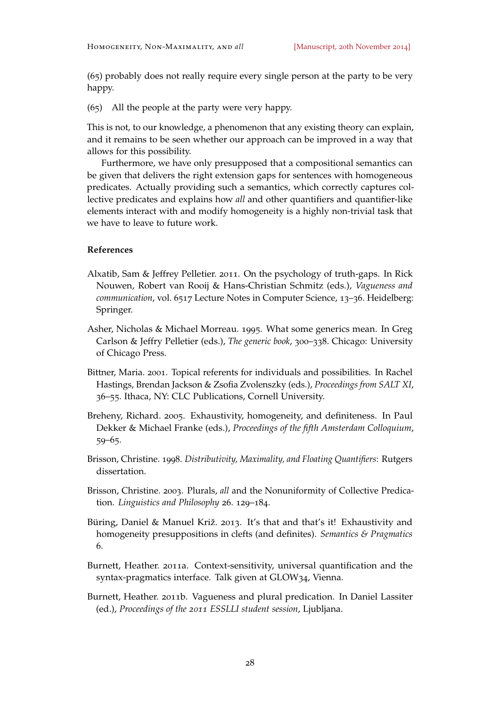(65) probably does not really require every single person at the party to be very happy.

(65) All the people at the party were very happy.

This is not, to our knowledge, a phenomenon that any existing theory can explain, and it remains to be seen whether our approach can be improved in a way that allows for this possibility.

Furthermore, we have only presupposed that a compositional semantics can be given that delivers the right extension gaps for sentences with homogeneous predicates. Actually providing such a semantics, which correctly captures collective predicates and explains how *all* and other quantifiers and quantifier-like elements interact with and modify homogeneity is a highly non-trivial task that we have to leave to future work.

# **References**

- <span id="page-27-3"></span>Alxatib, Sam & Jeffrey Pelletier. 2011. On the psychology of truth-gaps. In Rick Nouwen, Robert van Rooij & Hans-Christian Schmitz (eds.), *Vagueness and communication*, vol. 6517 Lecture Notes in Computer Science, 13–36. Heidelberg: Springer.
- <span id="page-27-5"></span>Asher, Nicholas & Michael Morreau. 1995. What some generics mean. In Greg Carlson & Jeffry Pelletier (eds.), *The generic book*, 300–338. Chicago: University of Chicago Press.
- <span id="page-27-4"></span>Bittner, Maria. 2001. Topical referents for individuals and possibilities. In Rachel Hastings, Brendan Jackson & Zsofia Zvolenszky (eds.), *Proceedings from SALT XI*, 36–55. Ithaca, NY: CLC Publications, Cornell University.
- <span id="page-27-1"></span>Breheny, Richard. 2005. Exhaustivity, homogeneity, and definiteness. In Paul Dekker & Michael Franke (eds.), *Proceedings of the fifth Amsterdam Colloquium*, 59–65.
- <span id="page-27-0"></span>Brisson, Christine. 1998. *Distributivity, Maximality, and Floating Quantifiers*: Rutgers dissertation.
- <span id="page-27-6"></span>Brisson, Christine. 2003. Plurals, *all* and the Nonuniformity of Collective Predication. *Linguistics and Philosophy* 26. 129–184.
- <span id="page-27-2"></span>Büring, Daniel & Manuel Križ. 2013. It's that and that's it! Exhaustivity and homogeneity presuppositions in clefts (and definites). *Semantics & Pragmatics* 6.
- <span id="page-27-8"></span>Burnett, Heather. 2011a. Context-sensitivity, universal quantification and the syntax-pragmatics interface. Talk given at GLOW34, Vienna.
- <span id="page-27-7"></span>Burnett, Heather. 2011b. Vagueness and plural predication. In Daniel Lassiter (ed.), *Proceedings of the 2011 ESSLLI student session*, Ljubljana.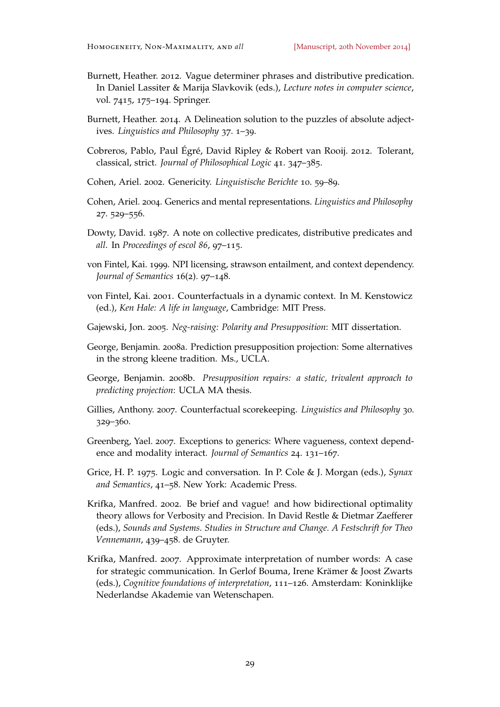- <span id="page-28-7"></span>Burnett, Heather. 2012. Vague determiner phrases and distributive predication. In Daniel Lassiter & Marija Slavkovik (eds.), *Lecture notes in computer science*, vol. 7415, 175–194. Springer.
- <span id="page-28-15"></span>Burnett, Heather. 2014. A Delineation solution to the puzzles of absolute adjectives. *Linguistics and Philosophy* 37. 1–39.
- <span id="page-28-14"></span>Cobreros, Pablo, Paul Égré, David Ripley & Robert van Rooij. 2012. Tolerant, classical, strict. *Journal of Philosophical Logic* 41. 347–385.
- <span id="page-28-11"></span>Cohen, Ariel. 2002. Genericity. *Linguistische Berichte* 10. 59–89.
- <span id="page-28-8"></span>Cohen, Ariel. 2004. Generics and mental representations. *Linguistics and Philosophy* 27. 529–556.
- <span id="page-28-0"></span>Dowty, David. 1987. A note on collective predicates, distributive predicates and *all*. In *Proceedings of escol 86*, 97–115.
- <span id="page-28-9"></span>von Fintel, Kai. 1999. NPI licensing, strawson entailment, and context dependency. *Journal of Semantics* 16(2). 97–148.
- <span id="page-28-12"></span>von Fintel, Kai. 2001. Counterfactuals in a dynamic context. In M. Kenstowicz (ed.), *Ken Hale: A life in language*, Cambridge: MIT Press.
- <span id="page-28-1"></span>Gajewski, Jon. 2005. *Neg-raising: Polarity and Presupposition*: MIT dissertation.
- <span id="page-28-5"></span>George, Benjamin. 2008a. Prediction presupposition projection: Some alternatives in the strong kleene tradition. Ms., UCLA.
- <span id="page-28-6"></span>George, Benjamin. 2008b. *Presupposition repairs: a static, trivalent approach to predicting projection*: UCLA MA thesis.
- <span id="page-28-13"></span>Gillies, Anthony. 2007. Counterfactual scorekeeping. *Linguistics and Philosophy* 30. 329–360.
- <span id="page-28-10"></span>Greenberg, Yael. 2007. Exceptions to generics: Where vagueness, context dependence and modality interact. *Journal of Semantics* 24. 131–167.
- <span id="page-28-2"></span>Grice, H. P. 1975. Logic and conversation. In P. Cole & J. Morgan (eds.), *Synax and Semantics*, 41–58. New York: Academic Press.
- <span id="page-28-3"></span>Krifka, Manfred. 2002. Be brief and vague! and how bidirectional optimality theory allows for Verbosity and Precision. In David Restle & Dietmar Zaefferer (eds.), *Sounds and Systems. Studies in Structure and Change. A Festschrift for Theo Vennemann*, 439–458. de Gruyter.
- <span id="page-28-4"></span>Krifka, Manfred. 2007. Approximate interpretation of number words: A case for strategic communication. In Gerlof Bouma, Irene Krämer & Joost Zwarts (eds.), *Cognitive foundations of interpretation*, 111–126. Amsterdam: Koninklijke Nederlandse Akademie van Wetenschapen.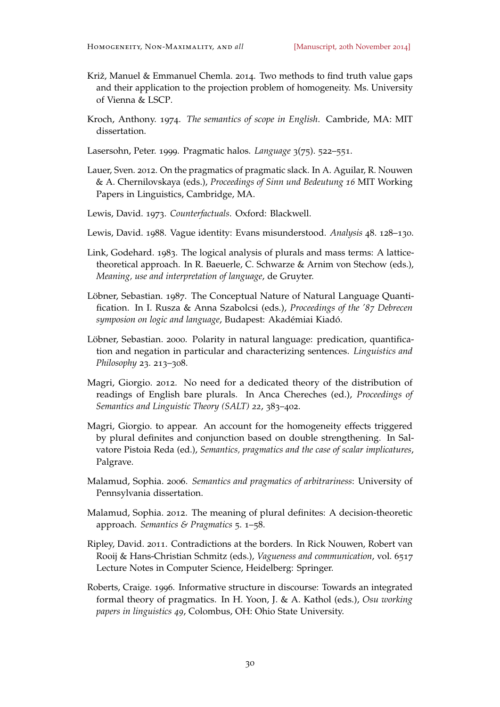- <span id="page-29-7"></span>Križ, Manuel & Emmanuel Chemla. 2014. Two methods to find truth value gaps and their application to the projection problem of homogeneity. Ms. University of Vienna & LSCP.
- <span id="page-29-6"></span>Kroch, Anthony. 1974. *The semantics of scope in English*. Cambride, MA: MIT dissertation.
- <span id="page-29-0"></span>Lasersohn, Peter. 1999. Pragmatic halos. *Language* 3(75). 522–551.
- <span id="page-29-10"></span>Lauer, Sven. 2012. On the pragmatics of pragmatic slack. In A. Aguilar, R. Nouwen & A. Chernilovskaya (eds.), *Proceedings of Sinn und Bedeutung 16* MIT Working Papers in Linguistics, Cambridge, MA.
- <span id="page-29-13"></span>Lewis, David. 1973. *Counterfactuals*. Oxford: Blackwell.
- <span id="page-29-8"></span>Lewis, David. 1988. Vague identity: Evans misunderstood. *Analysis* 48. 128–130.
- <span id="page-29-1"></span>Link, Godehard. 1983. The logical analysis of plurals and mass terms: A latticetheoretical approach. In R. Baeuerle, C. Schwarze & Arnim von Stechow (eds.), *Meaning, use and interpretation of language*, de Gruyter.
- <span id="page-29-3"></span>Löbner, Sebastian. 1987. The Conceptual Nature of Natural Language Quantification. In I. Rusza & Anna Szabolcsi (eds.), *Proceedings of the '87 Debrecen symposion on logic and language*, Budapest: Akadémiai Kiadó.
- <span id="page-29-4"></span>Löbner, Sebastian. 2000. Polarity in natural language: predication, quantification and negation in particular and characterizing sentences. *Linguistics and Philosophy* 23. 213–308.
- <span id="page-29-12"></span>Magri, Giorgio. 2012. No need for a dedicated theory of the distribution of readings of English bare plurals. In Anca Chereches (ed.), *Proceedings of Semantics and Linguistic Theory (SALT) 22*, 383–402.
- <span id="page-29-5"></span>Magri, Giorgio. to appear. An account for the homogeneity effects triggered by plural definites and conjunction based on double strengthening. In Salvatore Pistoia Reda (ed.), *Semantics, pragmatics and the case of scalar implicatures*, Palgrave.
- <span id="page-29-14"></span>Malamud, Sophia. 2006. *Semantics and pragmatics of arbitrariness*: University of Pennsylvania dissertation.
- <span id="page-29-2"></span>Malamud, Sophia. 2012. The meaning of plural definites: A decision-theoretic approach. *Semantics & Pragmatics* 5. 1–58.
- <span id="page-29-9"></span>Ripley, David. 2011. Contradictions at the borders. In Rick Nouwen, Robert van Rooij & Hans-Christian Schmitz (eds.), *Vagueness and communication*, vol. 6517 Lecture Notes in Computer Science, Heidelberg: Springer.
- <span id="page-29-11"></span>Roberts, Craige. 1996. Informative structure in discourse: Towards an integrated formal theory of pragmatics. In H. Yoon, J. & A. Kathol (eds.), *Osu working papers in linguistics 49*, Colombus, OH: Ohio State University.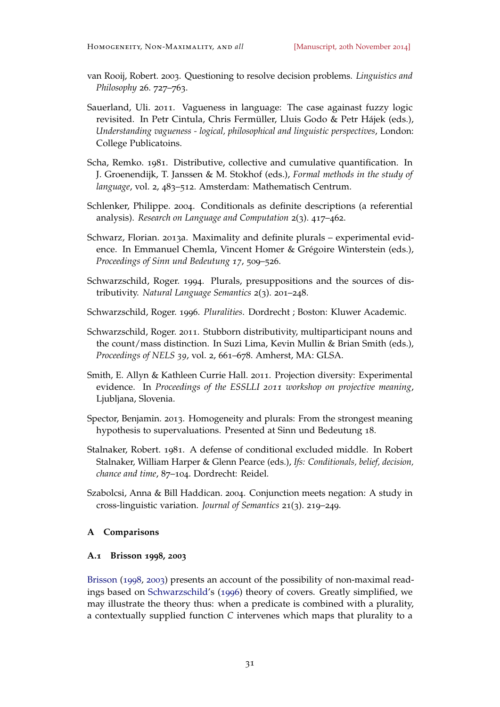- <span id="page-30-6"></span>van Rooij, Robert. 2003. Questioning to resolve decision problems. *Linguistics and Philosophy* 26. 727–763.
- <span id="page-30-7"></span>Sauerland, Uli. 2011. Vagueness in language: The case againast fuzzy logic revisited. In Petr Cintula, Chris Fermüller, Lluis Godo & Petr Hájek (eds.), *Understanding vagueness - logical, philosophical and linguistic perspectives*, London: College Publicatoins.
- <span id="page-30-0"></span>Scha, Remko. 1981. Distributive, collective and cumulative quantification. In J. Groenendijk, T. Janssen & M. Stokhof (eds.), *Formal methods in the study of language*, vol. 2, 483–512. Amsterdam: Mathematisch Centrum.
- <span id="page-30-4"></span>Schlenker, Philippe. 2004. Conditionals as definite descriptions (a referential analysis). *Research on Language and Computation* 2(3). 417–462.
- <span id="page-30-5"></span>Schwarz, Florian. 2013a. Maximality and definite plurals – experimental evidence. In Emmanuel Chemla, Vincent Homer & Grégoire Winterstein (eds.), *Proceedings of Sinn und Bedeutung 17*, 509–526.
- <span id="page-30-1"></span>Schwarzschild, Roger. 1994. Plurals, presuppositions and the sources of distributivity. *Natural Language Semantics* 2(3). 201–248.
- <span id="page-30-11"></span>Schwarzschild, Roger. 1996. *Pluralities*. Dordrecht ; Boston: Kluwer Academic.
- <span id="page-30-9"></span>Schwarzschild, Roger. 2011. Stubborn distributivity, multiparticipant nouns and the count/mass distinction. In Suzi Lima, Kevin Mullin & Brian Smith (eds.), *Proceedings of NELS 39*, vol. 2, 661–678. Amherst, MA: GLSA.
- <span id="page-30-8"></span>Smith, E. Allyn & Kathleen Currie Hall. 2011. Projection diversity: Experimental evidence. In *Proceedings of the ESSLLI 2011 workshop on projective meaning*, Ljubljana, Slovenia.
- <span id="page-30-2"></span>Spector, Benjamin. 2013. Homogeneity and plurals: From the strongest meaning hypothesis to supervaluations. Presented at Sinn und Bedeutung 18.
- <span id="page-30-12"></span>Stalnaker, Robert. 1981. A defense of conditional excluded middle. In Robert Stalnaker, William Harper & Glenn Pearce (eds.), *Ifs: Conditionals, belief, decision, chance and time*, 87–104. Dordrecht: Reidel.
- <span id="page-30-10"></span>Szabolcsi, Anna & Bill Haddican. 2004. Conjunction meets negation: A study in cross-linguistic variation. *Journal of Semantics* 21(3). 219–249.

#### <span id="page-30-3"></span>**A Comparisons**

# **A.1 Brisson 1998, 2003**

[Brisson](#page-27-0) ([1998](#page-27-0), [2003](#page-27-6)) presents an account of the possibility of non-maximal readings based on [Schwarzschild'](#page-30-11)s ([1996](#page-30-11)) theory of covers. Greatly simplified, we may illustrate the theory thus: when a predicate is combined with a plurality, a contextually supplied function *C* intervenes which maps that plurality to a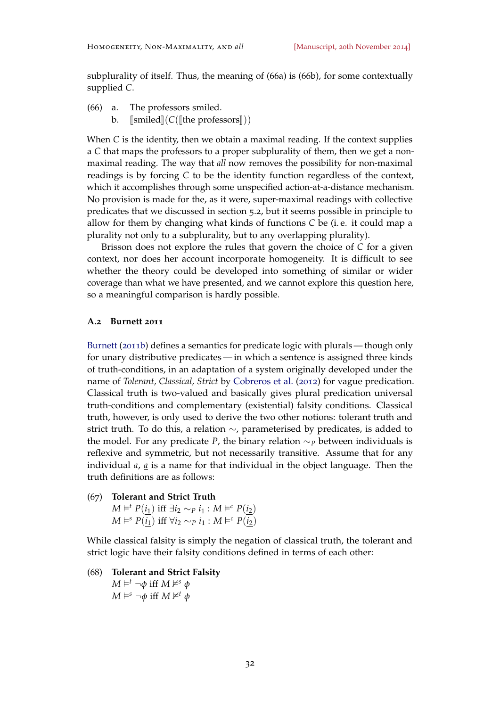subplurality of itself. Thus, the meaning of (66a) is (66b), for some contextually supplied *C*.

- (66) a. The professors smiled.
	- b.  $\lceil \text{smiled} \rceil(C(\lceil \text{the professors} \rceil))$

When *C* is the identity, then we obtain a maximal reading. If the context supplies a *C* that maps the professors to a proper subplurality of them, then we get a nonmaximal reading. The way that *all* now removes the possibility for non-maximal readings is by forcing *C* to be the identity function regardless of the context, which it accomplishes through some unspecified action-at-a-distance mechanism. No provision is made for the, as it were, super-maximal readings with collective predicates that we discussed in section [5](#page-20-1).2, but it seems possible in principle to allow for them by changing what kinds of functions *C* be (i. e. it could map a plurality not only to a subplurality, but to any overlapping plurality).

Brisson does not explore the rules that govern the choice of *C* for a given context, nor does her account incorporate homogeneity. It is difficult to see whether the theory could be developed into something of similar or wider coverage than what we have presented, and we cannot explore this question here, so a meaningful comparison is hardly possible.

#### **A.2 Burnett 2011**

[Burnett](#page-27-7) ([2011](#page-27-7)b) defines a semantics for predicate logic with plurals — though only for unary distributive predicates— in which a sentence is assigned three kinds of truth-conditions, in an adaptation of a system originally developed under the name of *Tolerant, Classical, Strict* by [Cobreros et al.](#page-28-14) ([2012](#page-28-14)) for vague predication. Classical truth is two-valued and basically gives plural predication universal truth-conditions and complementary (existential) falsity conditions. Classical truth, however, is only used to derive the two other notions: tolerant truth and strict truth. To do this, a relation ∼, parameterised by predicates, is added to the model. For any predicate *P*, the binary relation ∼*<sup>P</sup>* between individuals is reflexive and symmetric, but not necessarily transitive. Assume that for any individual *a*, *a* is a name for that individual in the object language. Then the truth definitions are as follows:

(67) **Tolerant and Strict Truth** *M*  $\models$ <sup>*t*</sup> *P*(*i*<sub>1</sub>) iff ∃*i*<sub>2</sub> ∼*P i*<sub>1</sub> : *M*  $\models$ <sup>*c*</sup> *P*(*i*<sub>2</sub>) *M*  $\models$ <sup>*s*</sup> *P*( $\overline{i_1}$ ) iff  $\forall i_2 \sim p i_1 : M \models^c P(\overline{i_2})$ 

While classical falsity is simply the negation of classical truth, the tolerant and strict logic have their falsity conditions defined in terms of each other:

<span id="page-31-0"></span>(68) **Tolerant and Strict Falsity**  $M \models<sup>t</sup> \neg φ$  iff  $M \nvDash<sup>s</sup> φ$  $M \models^s \neg \phi$  iff  $M \not\models^t \phi$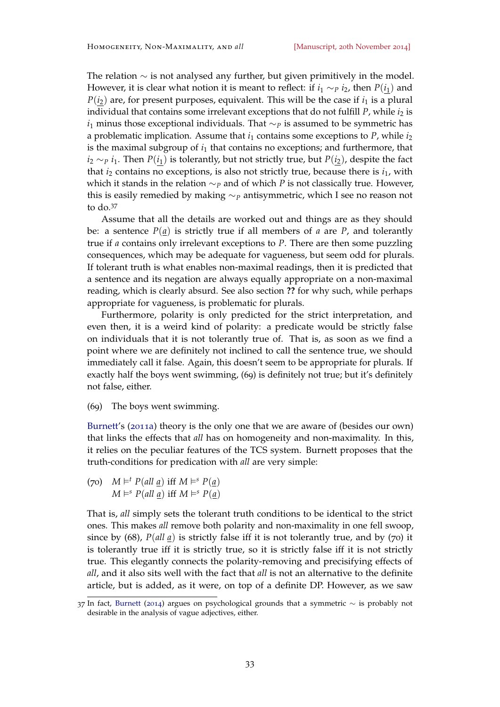The relation ∼ is not analysed any further, but given primitively in the model. However, it is clear what notion it is meant to reflect: if  $i_1 \sim p$   $i_2$ , then  $P(i_1)$  and  $P(i_2)$  are, for present purposes, equivalent. This will be the case if  $i_1$  is a plural individual that contains some irrelevant exceptions that do not fulfill *P*, while  $i_2$  is *i*<sub>1</sub> minus those exceptional individuals. That ∼*P* is assumed to be symmetric has a problematic implication. Assume that  $i_1$  contains some exceptions to  $P$ , while  $i_2$ is the maximal subgroup of *i*<sup>1</sup> that contains no exceptions; and furthermore, that *i*<sub>2</sub> ∼*P i*<sub>1</sub>. Then *P*(*i*<sub>1</sub>) is tolerantly, but not strictly true, but *P*(*i*<sub>2</sub>), despite the fact that  $i<sub>2</sub>$  contains no exceptions, is also not strictly true, because there is  $i<sub>1</sub>$ , with which it stands in the relation ∼*<sup>P</sup>* and of which *P* is not classically true. However, this is easily remedied by making ∼*<sup>P</sup>* antisymmetric, which I see no reason not to do.<sup>37</sup>

Assume that all the details are worked out and things are as they should be: a sentence  $P(\underline{a})$  is strictly true if all members of *a* are *P*, and tolerantly true if *a* contains only irrelevant exceptions to *P*. There are then some puzzling consequences, which may be adequate for vagueness, but seem odd for plurals. If tolerant truth is what enables non-maximal readings, then it is predicted that a sentence and its negation are always equally appropriate on a non-maximal reading, which is clearly absurd. See also section **??** for why such, while perhaps appropriate for vagueness, is problematic for plurals.

Furthermore, polarity is only predicted for the strict interpretation, and even then, it is a weird kind of polarity: a predicate would be strictly false on individuals that it is not tolerantly true of. That is, as soon as we find a point where we are definitely not inclined to call the sentence true, we should immediately call it false. Again, this doesn't seem to be appropriate for plurals. If exactly half the boys went swimming, (69) is definitely not true; but it's definitely not false, either.

(69) The boys went swimming.

[Burnett'](#page-27-8)s ([2011](#page-27-8)a) theory is the only one that we are aware of (besides our own) that links the effects that *all* has on homogeneity and non-maximality. In this, it relies on the peculiar features of the TCS system. Burnett proposes that the truth-conditions for predication with *all* are very simple:

(70)  $M \models^t P(\text{all } \underline{a}) \text{ iff } M \models^s P(\underline{a})$  $M \models^s P(\text{all } \underline{a}) \text{ iff } M \models^s P(\underline{a})$ 

That is, *all* simply sets the tolerant truth conditions to be identical to the strict ones. This makes *all* remove both polarity and non-maximality in one fell swoop, since by ([68](#page-31-0)), *P*(*all a*) is strictly false iff it is not tolerantly true, and by (70) it is tolerantly true iff it is strictly true, so it is strictly false iff it is not strictly true. This elegantly connects the polarity-removing and precisifying effects of *all*, and it also sits well with the fact that *all* is not an alternative to the definite article, but is added, as it were, on top of a definite DP. However, as we saw

<sup>37</sup> In fact, [Burnett](#page-28-15) ([2014](#page-28-15)) argues on psychological grounds that a symmetric ∼ is probably not desirable in the analysis of vague adjectives, either.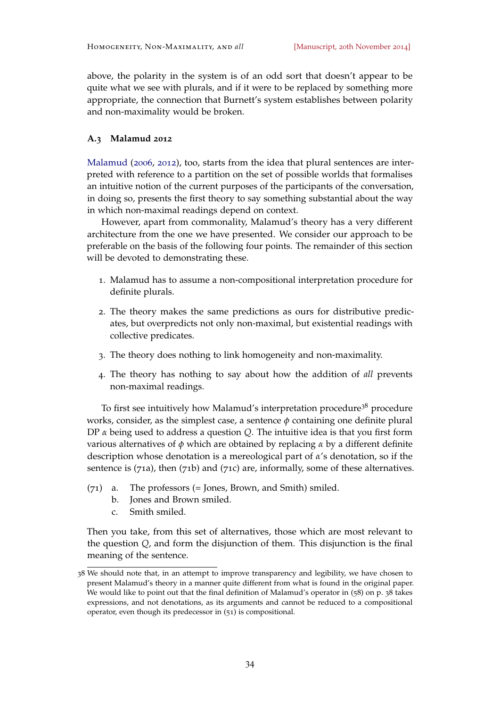above, the polarity in the system is of an odd sort that doesn't appear to be quite what we see with plurals, and if it were to be replaced by something more appropriate, the connection that Burnett's system establishes between polarity and non-maximality would be broken.

# **A.3 Malamud 2012**

[Malamud](#page-29-14) ([2006](#page-29-14), [2012](#page-29-2)), too, starts from the idea that plural sentences are interpreted with reference to a partition on the set of possible worlds that formalises an intuitive notion of the current purposes of the participants of the conversation, in doing so, presents the first theory to say something substantial about the way in which non-maximal readings depend on context.

However, apart from commonality, Malamud's theory has a very different architecture from the one we have presented. We consider our approach to be preferable on the basis of the following four points. The remainder of this section will be devoted to demonstrating these.

- 1. Malamud has to assume a non-compositional interpretation procedure for definite plurals.
- 2. The theory makes the same predictions as ours for distributive predicates, but overpredicts not only non-maximal, but existential readings with collective predicates.
- 3. The theory does nothing to link homogeneity and non-maximality.
- 4. The theory has nothing to say about how the addition of *all* prevents non-maximal readings.

To first see intuitively how Malamud's interpretation procedure<sup>38</sup> procedure works, consider, as the simplest case, a sentence *φ* containing one definite plural DP *α* being used to address a question *Q*. The intuitive idea is that you first form various alternatives of *φ* which are obtained by replacing *α* by a different definite description whose denotation is a mereological part of *α*'s denotation, so if the sentence is (71a), then (71b) and (71c) are, informally, some of these alternatives.

- (71) a. The professors (= Jones, Brown, and Smith) smiled.
	- b. Jones and Brown smiled.
	- c. Smith smiled.

Then you take, from this set of alternatives, those which are most relevant to the question *Q*, and form the disjunction of them. This disjunction is the final meaning of the sentence.

<sup>38</sup> We should note that, in an attempt to improve transparency and legibility, we have chosen to present Malamud's theory in a manner quite different from what is found in the original paper. We would like to point out that the final definition of Malamud's operator in (58) on p. 38 takes expressions, and not denotations, as its arguments and cannot be reduced to a compositional operator, even though its predecessor in (51) is compositional.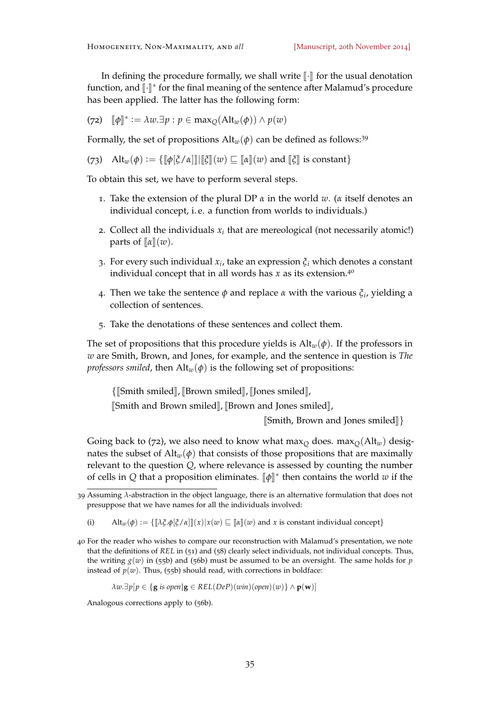In defining the procedure formally, we shall write  $\lbrack \cdot \rbrack$  for the usual denotation function, and [⊦]<sup>∗</sup> for the final meaning of the sentence after Malamud's procedure<br>has have sentiad. The latter has the following form: has been applied. The latter has the following form:

<span id="page-34-0"></span>
$$
(72) \quad [\![\phi]\!]^* := \lambda w.\exists p : p \in \max_{Q}(\text{Alt}_w(\phi)) \wedge p(w)
$$

Formally, the set of propositions  $\mathrm{Alt}_w(\phi)$  can be defined as follows:<sup>39</sup>

(73) Alt<sub>*w*</sub>( $\phi$ ) := { $\llbracket \phi \rrbracket \xi / \alpha \rrbracket \llbracket \xi \rrbracket(w) \sqsubseteq \llbracket \alpha \rrbracket(w)$  and  $\llbracket \xi \rrbracket$  is constant}

To obtain this set, we have to perform several steps.

- 1. Take the extension of the plural DP *α* in the world *w*. (*α* itself denotes an individual concept, i. e. a function from worlds to individuals.)
- 2. Collect all the individuals  $x_i$  that are mereological (not necessarily atomic!) parts of  $\llbracket \alpha \rrbracket(w)$ .
- 3. For every such individual *x<sup>i</sup>* , take an expression *ξ<sup>i</sup>* which denotes a constant individual concept that in all words has  $x$  as its extension.<sup>40</sup>
- 4. Then we take the sentence *φ* and replace *α* with the various *ξ<sup>i</sup>* , yielding a collection of sentences.
- 5. Take the denotations of these sentences and collect them.

The set of propositions that this procedure yields is  $\text{Alt}_w(\phi)$ . If the professors in *w* are Smith, Brown, and Jones, for example, and the sentence in question is *The professors smiled*, then  $\text{Alt}_{w}(\phi)$  is the following set of propositions:

{[Smith smiled], [Brown smiled], [Jones smiled],

[Smith and Brown smiled], [Brown and Jones smiled],

<sup>J</sup>Smith, Brown and Jones smiledK}

Going back to ([72](#page-34-0)), we also need to know what max<sub> $O$ </sub> does. max<sub> $O$ </sub>(Alt<sub>*w*</sub>) designates the subset of  $\text{Alt}_w(\phi)$  that consists of those propositions that are maximally relevant to the question *Q*, where relevance is assessed by counting the number of cells in *Q* that a proposition eliminates.  $[\![\phi]\!]^*$  then contains the world *w* if the

(i) Alt<sub>*w*</sub>( $\phi$ ) := { $[\![\lambda \xi \cdot \phi[\xi/\alpha]\!] \cdot (x) |x(w)| \sqsubseteq [\![\alpha]\!](w)$  and *x* is constant individual concept}

40 For the reader who wishes to compare our reconstruction with Malamud's presentation, we note that the definitions of *REL* in (51) and (58) clearly select individuals, not individual concepts. Thus, the writing  $g(w)$  in (55b) and (56b) must be assumed to be an oversight. The same holds for *p* instead of  $p(w)$ . Thus, (55b) should read, with corrections in boldface:

 $\lambda w.\exists p[p \in \{g \text{ is open} | g \in REL(DeP)(win)(open)(w) \} \wedge p(w)]$ 

Analogous corrections apply to (56b).

<sup>39</sup> Assuming *λ*-abstraction in the object language, there is an alternative formulation that does not presuppose that we have names for all the individuals involved: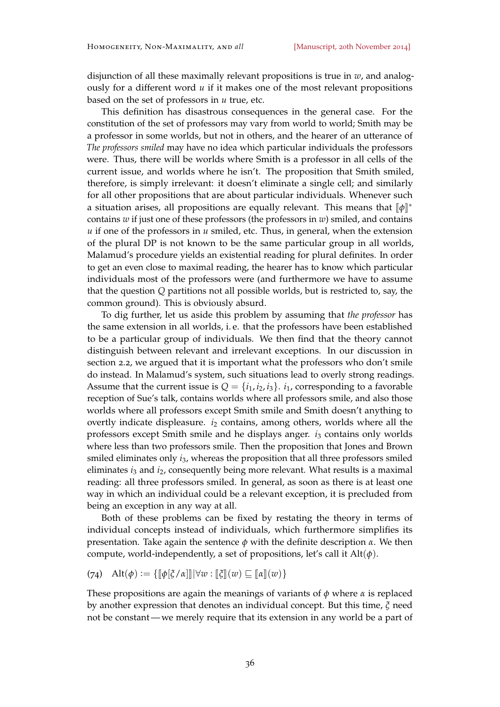disjunction of all these maximally relevant propositions is true in *w*, and analogously for a different word *u* if it makes one of the most relevant propositions based on the set of professors in *u* true, etc.

This definition has disastrous consequences in the general case. For the constitution of the set of professors may vary from world to world; Smith may be a professor in some worlds, but not in others, and the hearer of an utterance of *The professors smiled* may have no idea which particular individuals the professors were. Thus, there will be worlds where Smith is a professor in all cells of the current issue, and worlds where he isn't. The proposition that Smith smiled, therefore, is simply irrelevant: it doesn't eliminate a single cell; and similarly for all other propositions that are about particular individuals. Whenever such a situation arises, all propositions are equally relevant. This means that  $[\![\phi]\!]^*$ contains *w* if just one of these professors (the professors in *w*) smiled, and contains  $u$  if one of the professors in  $u$  smiled, etc. Thus, in general, when the extension of the plural DP is not known to be the same particular group in all worlds, Malamud's procedure yields an existential reading for plural definites. In order to get an even close to maximal reading, the hearer has to know which particular individuals most of the professors were (and furthermore we have to assume that the question *Q* partitions not all possible worlds, but is restricted to, say, the common ground). This is obviously absurd.

To dig further, let us aside this problem by assuming that *the professor* has the same extension in all worlds, i. e. that the professors have been established to be a particular group of individuals. We then find that the theory cannot distinguish between relevant and irrelevant exceptions. In our discussion in section [2](#page-2-0).2, we argued that it is important what the professors who don't smile do instead. In Malamud's system, such situations lead to overly strong readings. Assume that the current issue is  $Q = \{i_1, i_2, i_3\}$ .  $i_1$ , corresponding to a favorable reception of Sue's talk, contains worlds where all professors smile, and also those worlds where all professors except Smith smile and Smith doesn't anything to overtly indicate displeasure. *i*<sub>2</sub> contains, among others, worlds where all the professors except Smith smile and he displays anger. *i*<sup>3</sup> contains only worlds where less than two professors smile. Then the proposition that Jones and Brown smiled eliminates only *i*3, whereas the proposition that all three professors smiled eliminates *i*<sup>3</sup> and *i*2, consequently being more relevant. What results is a maximal reading: all three professors smiled. In general, as soon as there is at least one way in which an individual could be a relevant exception, it is precluded from being an exception in any way at all.

Both of these problems can be fixed by restating the theory in terms of individual concepts instead of individuals, which furthermore simplifies its presentation. Take again the sentence *φ* with the definite description *α*. We then compute, world-independently, a set of propositions, let's call it Alt(*φ*).

(74) 
$$
\mathrm{Alt}(\phi) := \{ \llbracket \phi \lfloor \xi / \alpha \rfloor \rrbracket | \forall w : \llbracket \xi \rrbracket(w) \sqsubseteq \llbracket \alpha \rrbracket(w) \}
$$

These propositions are again the meanings of variants of  $\phi$  where  $\alpha$  is replaced by another expression that denotes an individual concept. But this time, *ξ* need not be constant — we merely require that its extension in any world be a part of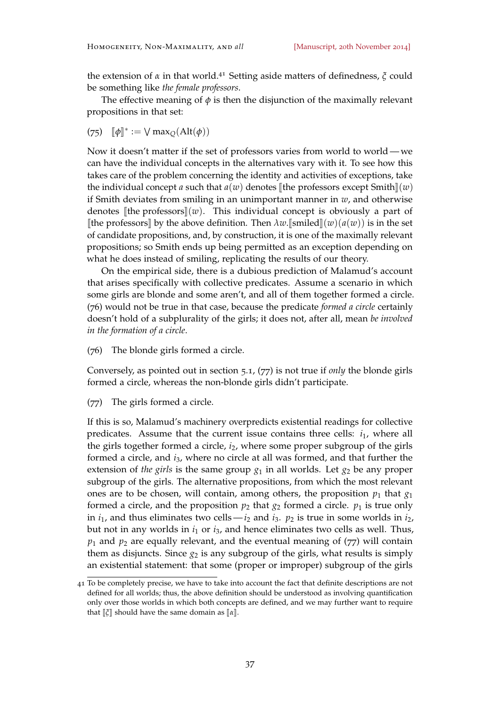the extension of *<sup>α</sup>* in that world.<sup>41</sup> Setting aside matters of definedness, *<sup>ξ</sup>* could be something like *the female professors*.

The effective meaning of  $\phi$  is then the disjunction of the maximally relevant propositions in that set:

(75)  $[\![\phi]\!]^* := \bigvee \max_Q(\text{Alt}(\phi))$ 

Now it doesn't matter if the set of professors varies from world to world— we can have the individual concepts in the alternatives vary with it. To see how this takes care of the problem concerning the identity and activities of exceptions, take the individual concept *a* such that  $a(w)$  denotes [the professors except Smith] $(w)$ if Smith deviates from smiling in an unimportant manner in *w*, and otherwise denotes  $\llbracket$ the professors $\llbracket$ (*w*). This individual concept is obviously a part of [the professors] by the above definition. Then  $\lambda w$ .[smiled](*w*)( $a(w)$ ) is in the set of candidate propositions, and, by construction, it is one of the maximally relevant propositions; so Smith ends up being permitted as an exception depending on what he does instead of smiling, replicating the results of our theory.

On the empirical side, there is a dubious prediction of Malamud's account that arises specifically with collective predicates. Assume a scenario in which some girls are blonde and some aren't, and all of them together formed a circle. (76) would not be true in that case, because the predicate *formed a circle* certainly doesn't hold of a subplurality of the girls; it does not, after all, mean *be involved in the formation of a circle*.

(76) The blonde girls formed a circle.

Conversely, as pointed out in section [5](#page-18-1).1, (77) is not true if *only* the blonde girls formed a circle, whereas the non-blonde girls didn't participate.

(77) The girls formed a circle.

If this is so, Malamud's machinery overpredicts existential readings for collective predicates. Assume that the current issue contains three cells:  $i_1$ , where all the girls together formed a circle, *i*2, where some proper subgroup of the girls formed a circle, and *i*3, where no circle at all was formed, and that further the extension of *the girls* is the same group  $g_1$  in all worlds. Let  $g_2$  be any proper subgroup of the girls. The alternative propositions, from which the most relevant ones are to be chosen, will contain, among others, the proposition  $p_1$  that  $g_1$ formed a circle, and the proposition  $p_2$  that  $g_2$  formed a circle.  $p_1$  is true only in  $i_1$ , and thus eliminates two cells —  $i_2$  and  $i_3$ .  $p_2$  is true in some worlds in  $i_2$ , but not in any worlds in *i*<sup>1</sup> or *i*3, and hence eliminates two cells as well. Thus,  $p_1$  and  $p_2$  are equally relevant, and the eventual meaning of  $(77)$  will contain them as disjuncts. Since  $g_2$  is any subgroup of the girls, what results is simply an existential statement: that some (proper or improper) subgroup of the girls

<sup>41</sup> To be completely precise, we have to take into account the fact that definite descriptions are not defined for all worlds; thus, the above definition should be understood as involving quantification only over those worlds in which both concepts are defined, and we may further want to require that  $\lbrack \lbrack \zeta \rbrack \rbrack$  should have the same domain as  $\lbrack \lbrack \alpha \rbrack \rbrack$ .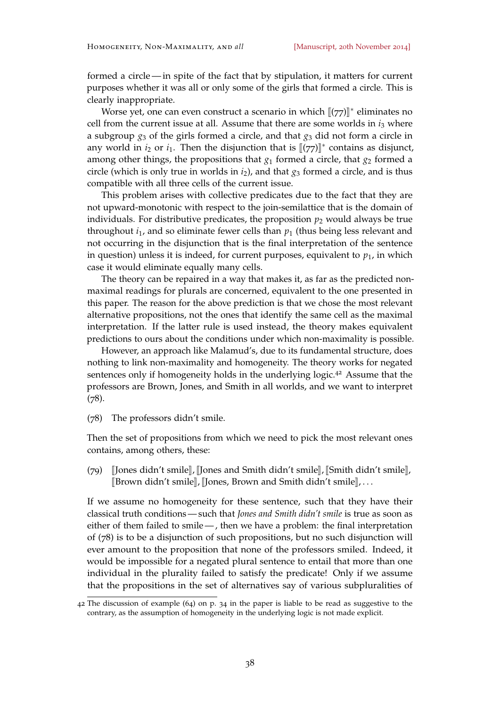formed a circle— in spite of the fact that by stipulation, it matters for current purposes whether it was all or only some of the girls that formed a circle. This is clearly inappropriate.

Worse yet, one can even construct a scenario in which  $\llbracket (77) \rrbracket^*$  eliminates no<br>from the ground issue at all Assume that there are seen susceled in it where cell from the current issue at all. Assume that there are some worlds in  $i_3$  where a subgroup *g*<sup>3</sup> of the girls formed a circle, and that *g*<sup>3</sup> did not form a circle in any world in  $i_2$  or  $i_1$ . Then the disjunction that is  $[[(77)]^*$  contains as disjunct, among other things, the propositions that  $g_1$  formed a circle, that  $g_2$  formed a circle (which is only true in worlds in  $i_2$ ), and that  $g_3$  formed a circle, and is thus compatible with all three cells of the current issue.

This problem arises with collective predicates due to the fact that they are not upward-monotonic with respect to the join-semilattice that is the domain of individuals. For distributive predicates, the proposition  $p_2$  would always be true throughout  $i_1$ , and so eliminate fewer cells than  $p_1$  (thus being less relevant and not occurring in the disjunction that is the final interpretation of the sentence in question) unless it is indeed, for current purposes, equivalent to  $p_1$ , in which case it would eliminate equally many cells.

The theory can be repaired in a way that makes it, as far as the predicted nonmaximal readings for plurals are concerned, equivalent to the one presented in this paper. The reason for the above prediction is that we chose the most relevant alternative propositions, not the ones that identify the same cell as the maximal interpretation. If the latter rule is used instead, the theory makes equivalent predictions to ours about the conditions under which non-maximality is possible.

However, an approach like Malamud's, due to its fundamental structure, does nothing to link non-maximality and homogeneity. The theory works for negated sentences only if homogeneity holds in the underlying logic.<sup>42</sup> Assume that the professors are Brown, Jones, and Smith in all worlds, and we want to interpret (78).

(78) The professors didn't smile.

Then the set of propositions from which we need to pick the most relevant ones contains, among others, these:

(79) JJones didn't smile<sub>l</sub>, JJones and Smith didn't smile<sub>l</sub>, JSmith didn't smile<sub>l</sub>,  $[\text{Brown didn't smile}], [\text{Jones, Brown and Smith didn't smile}], \dots$ 

If we assume no homogeneity for these sentence, such that they have their classical truth conditions — such that *Jones and Smith didn't smile* is true as soon as either of them failed to smile — , then we have a problem: the final interpretation of (78) is to be a disjunction of such propositions, but no such disjunction will ever amount to the proposition that none of the professors smiled. Indeed, it would be impossible for a negated plural sentence to entail that more than one individual in the plurality failed to satisfy the predicate! Only if we assume that the propositions in the set of alternatives say of various subpluralities of

<sup>42</sup> The discussion of example (64) on p. 34 in the paper is liable to be read as suggestive to the contrary, as the assumption of homogeneity in the underlying logic is not made explicit.